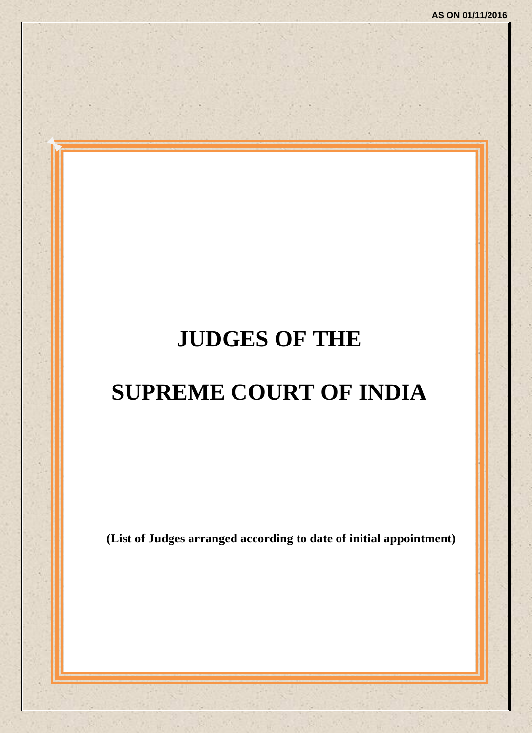# **JUDGES OF THE**

# **SUPREME COURT OF INDIA**

**(List of Judges arranged according to date of initial appointment)**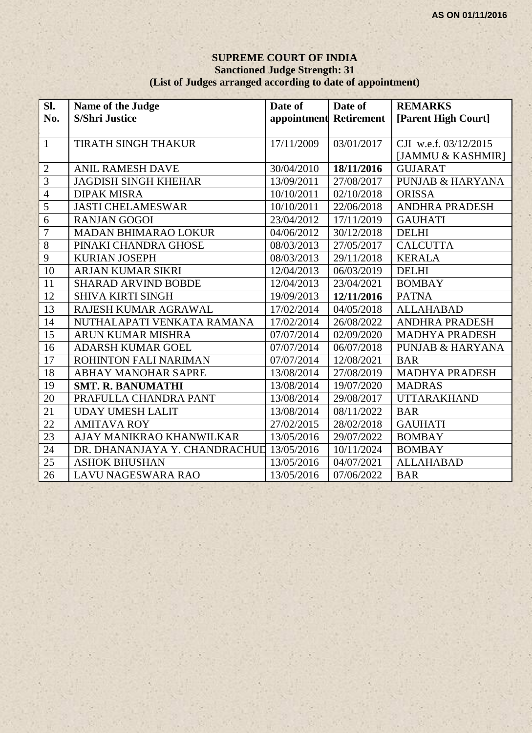#### **SUPREME COURT OF INDIA Sanctioned Judge Strength: 31 (List of Judges arranged according to date of appointment)**

| SI.             | Name of the Judge             | Date of                | Date of    | <b>REMARKS</b>              |
|-----------------|-------------------------------|------------------------|------------|-----------------------------|
| No.             | <b>S/Shri Justice</b>         | appointment Retirement |            | [Parent High Court]         |
|                 |                               |                        |            |                             |
| $\mathbf{1}$    | TIRATH SINGH THAKUR           | 17/11/2009             | 03/01/2017 | CJI w.e.f. 03/12/2015       |
|                 |                               |                        |            | [JAMMU & KASHMIR]           |
| $\mathbf{2}$    | <b>ANIL RAMESH DAVE</b>       | 30/04/2010             | 18/11/2016 | <b>GUJARAT</b>              |
| $\overline{3}$  | <b>JAGDISH SINGH KHEHAR</b>   | 13/09/2011             | 27/08/2017 | <b>PUNJAB &amp; HARYANA</b> |
| $\overline{4}$  | <b>DIPAK MISRA</b>            | 10/10/2011             | 02/10/2018 | <b>ORISSA</b>               |
| 5               | <b>JASTI CHELAMESWAR</b>      | 10/10/2011             | 22/06/2018 | <b>ANDHRA PRADESH</b>       |
| $\overline{6}$  | <b>RANJAN GOGOI</b>           | 23/04/2012             | 17/11/2019 | <b>GAUHATI</b>              |
| $\overline{7}$  | <b>MADAN BHIMARAO LOKUR</b>   | $\sqrt{04}/06/2012$    | 30/12/2018 | <b>DELHI</b>                |
| $\overline{8}$  | PINAKI CHANDRA GHOSE          | 08/03/2013             | 27/05/2017 | <b>CALCUTTA</b>             |
| $\overline{9}$  | <b>KURIAN JOSEPH</b>          | 08/03/2013             | 29/11/2018 | <b>KERALA</b>               |
| 10              | <b>ARJAN KUMAR SIKRI</b>      | 12/04/2013             | 06/03/2019 | <b>DELHI</b>                |
| 11              | <b>SHARAD ARVIND BOBDE</b>    | 12/04/2013             | 23/04/2021 | <b>BOMBAY</b>               |
| 12              | <b>SHIVA KIRTI SINGH</b>      | 19/09/2013             | 12/11/2016 | <b>PATNA</b>                |
| 13              | RAJESH KUMAR AGRAWAL          | 17/02/2014             | 04/05/2018 | <b>ALLAHABAD</b>            |
| 14              | NUTHALAPATI VENKATA RAMANA    | 17/02/2014             | 26/08/2022 | <b>ANDHRA PRADESH</b>       |
| $\overline{15}$ | ARUN KUMAR MISHRA             | 07/07/2014             | 02/09/2020 | <b>MADHYA PRADESH</b>       |
| 16              | <b>ADARSH KUMAR GOEL</b>      | 07/07/2014             | 06/07/2018 | <b>PUNJAB &amp; HARYANA</b> |
| 17              | ROHINTON FALI NARIMAN         | 07/07/2014             | 12/08/2021 | <b>BAR</b>                  |
| 18              | <b>ABHAY MANOHAR SAPRE</b>    | 13/08/2014             | 27/08/2019 | <b>MADHYA PRADESH</b>       |
| 19              | <b>SMT. R. BANUMATHI</b>      | 13/08/2014             | 19/07/2020 | <b>MADRAS</b>               |
| 20              | PRAFULLA CHANDRA PANT         | 13/08/2014             | 29/08/2017 | <b>UTTARAKHAND</b>          |
| 21              | <b>UDAY UMESH LALIT</b>       | 13/08/2014             | 08/11/2022 | <b>BAR</b>                  |
| $\overline{22}$ | <b>AMITAVA ROY</b>            | 27/02/2015             | 28/02/2018 | <b>GAUHATI</b>              |
| 23              | AJAY MANIKRAO KHANWILKAR      | 13/05/2016             | 29/07/2022 | <b>BOMBAY</b>               |
| 24              | DR. DHANANJAYA Y. CHANDRACHUL | 13/05/2016             | 10/11/2024 | <b>BOMBAY</b>               |
| 25              | <b>ASHOK BHUSHAN</b>          | 13/05/2016             | 04/07/2021 | <b>ALLAHABAD</b>            |
| 26              | <b>LAVU NAGESWARA RAO</b>     | 13/05/2016             | 07/06/2022 | <b>BAR</b>                  |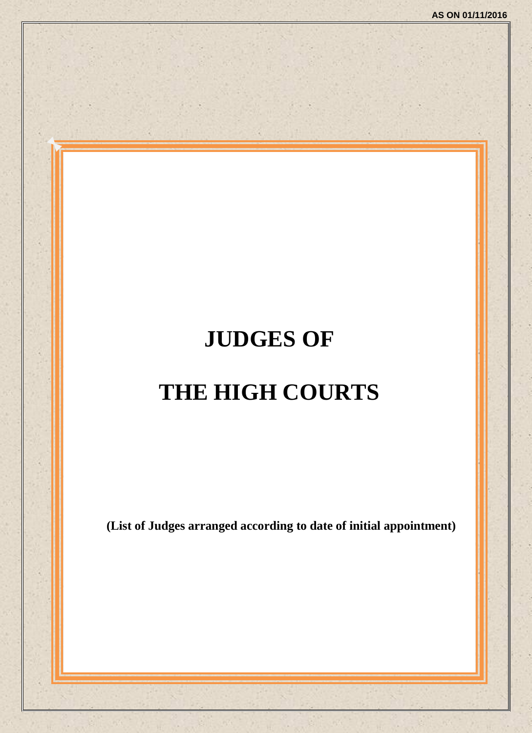# **JUDGES OF THE HIGH COURTS**

**(List of Judges arranged according to date of initial appointment)**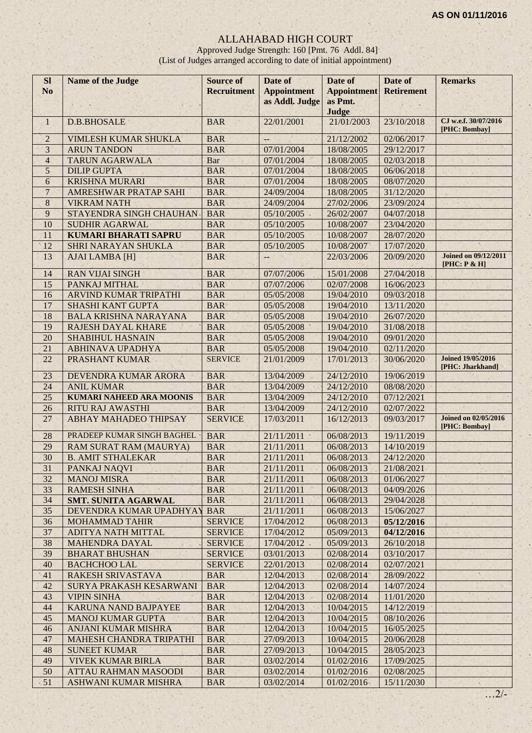#### ALLAHABAD HIGH COURT

Approved Judge Strength: 160 [Pmt. 76 Addl. 84] (List of Judges arranged according to date of initial appointment)

| <b>SI</b><br>N <sub>o</sub> | <b>Name of the Judge</b>        | <b>Source of</b><br><b>Recruitment</b> | Date of<br><b>Appointment</b> | Date of<br><b>Appointment</b> | Date of<br><b>Retirement</b> | <b>Remarks</b>                               |
|-----------------------------|---------------------------------|----------------------------------------|-------------------------------|-------------------------------|------------------------------|----------------------------------------------|
|                             |                                 |                                        | as Addl. Judge                | as Pmt.<br>Judge              |                              |                                              |
| $\mathbf{1}$                | <b>D.B.BHOSALE</b>              | <b>BAR</b>                             | 22/01/2001                    | 21/01/2003                    | 23/10/2018                   | CJ w.e.f. 30/07/2016<br>[PHC: Bombay]        |
| $\mathbf 2$                 | VIMLESH KUMAR SHUKLA            | <b>BAR</b>                             | $--$                          | 21/12/2002                    | 02/06/2017                   |                                              |
| $\mathfrak{Z}$              | <b>ARUN TANDON</b>              | <b>BAR</b>                             | 07/01/2004                    | 18/08/2005                    | 29/12/2017                   |                                              |
| $\overline{4}$              | <b>TARUN AGARWALA</b>           | Bar                                    | 07/01/2004                    | 18/08/2005                    | 02/03/2018                   |                                              |
| 5                           | <b>DILIP GUPTA</b>              | <b>BAR</b>                             | 07/01/2004                    | 18/08/2005                    | 06/06/2018                   |                                              |
| $\overline{6}$              | <b>KRISHNA MURARI</b>           | <b>BAR</b>                             | 07/01/2004                    | 18/08/2005                    | 08/07/2020                   |                                              |
| $\overline{7}$              | AMRESHWAR PRATAP SAHI           | <b>BAR</b>                             | 24/09/2004                    | 18/08/2005                    | 31/12/2020                   |                                              |
| 8                           | <b>VIKRAM NATH</b>              | <b>BAR</b>                             | 24/09/2004                    | 27/02/2006                    | 23/09/2024                   |                                              |
| 9                           | STAYENDRA SINGH CHAUHAN         | <b>BAR</b>                             | 05/10/2005                    | 26/02/2007                    | 04/07/2018                   |                                              |
| 10                          | <b>SUDHIR AGARWAL</b>           | <b>BAR</b>                             | 05/10/2005                    | 10/08/2007                    | 23/04/2020                   |                                              |
| 11                          | <b>KUMARI BHARATI SAPRU</b>     | <b>BAR</b>                             | 05/10/2005                    | 10/08/2007                    | 28/07/2020                   |                                              |
| 12                          | <b>SHRI NARAYAN SHUKLA</b>      | <b>BAR</b>                             | 05/10/2005                    | 10/08/2007                    | 17/07/2020                   |                                              |
| 13                          | <b>AJAI LAMBA [H]</b>           | <b>BAR</b>                             | $\qquad \qquad -$             | 22/03/2006                    | 20/09/2020                   | <b>Joined on 09/12/2011</b><br>[PHC: P & H]  |
| 14                          | <b>RAN VIJAI SINGH</b>          | <b>BAR</b>                             | 07/07/2006                    | 15/01/2008                    | 27/04/2018                   |                                              |
| 15                          | PANKAJ MITHAL                   | <b>BAR</b>                             | 07/07/2006                    | 02/07/2008                    | 16/06/2023                   |                                              |
| 16                          | ARVIND KUMAR TRIPATHI           | <b>BAR</b>                             | 05/05/2008                    | 19/04/2010                    | 09/03/2018                   |                                              |
| 17                          | <b>SHASHI KANT GUPTA</b>        | <b>BAR</b>                             | 05/05/2008                    | 19/04/2010                    | 13/11/2020                   |                                              |
| 18                          | <b>BALA KRISHNA NARAYANA</b>    | <b>BAR</b>                             | 05/05/2008                    | 19/04/2010                    | 26/07/2020                   |                                              |
| 19                          | <b>RAJESH DAYAL KHARE</b>       | <b>BAR</b>                             | 05/05/2008                    | 19/04/2010                    | 31/08/2018                   |                                              |
| 20                          | <b>SHABIHUL HASNAIN</b>         | <b>BAR</b>                             | 05/05/2008                    | 19/04/2010                    | 09/01/2020                   |                                              |
| 21                          | <b>ABHINAVA UPADHYA</b>         | <b>BAR</b>                             | 05/05/2008                    | 19/04/2010                    | 02/11/2020                   |                                              |
| 22                          | PRASHANT KUMAR                  | <b>SERVICE</b>                         | 21/01/2009                    | 17/01/2013                    | 30/06/2020                   | <b>Joined 19/05/2016</b><br>[PHC: Jharkhand] |
| 23                          | DEVENDRA KUMAR ARORA            | <b>BAR</b>                             | 13/04/2009                    | 24/12/2010                    | 19/06/2019                   |                                              |
| 24                          | <b>ANIL KUMAR</b>               | <b>BAR</b>                             | 13/04/2009                    | 24/12/2010                    | 08/08/2020                   |                                              |
| 25                          | <b>KUMARI NAHEED ARA MOONIS</b> | <b>BAR</b>                             | 13/04/2009                    | 24/12/2010                    | 07/12/2021                   |                                              |
| 26                          | <b>RITU RAJ AWASTHI</b>         | <b>BAR</b>                             | 13/04/2009                    | 24/12/2010                    | 02/07/2022                   |                                              |
| 27                          | ABHAY MAHADEO THIPSAY           | <b>SERVICE</b>                         | 17/03/2011                    | 16/12/2013                    | 09/03/2017                   | <b>Joined on 02/05/2016</b><br>[PHC: Bombay] |
| 28                          | PRADEEP KUMAR SINGH BAGHEL      | <b>BAR</b>                             | 21/11/2011                    | 06/08/2013                    | 19/11/2019                   |                                              |
| 29                          | RAM SURAT RAM (MAURYA)          | <b>BAR</b>                             | 21/11/2011                    | 06/08/2013                    | 14/10/2019                   |                                              |
| 30                          | <b>B. AMIT STHALEKAR</b>        | <b>BAR</b>                             | 21/11/2011                    | 06/08/2013                    | 24/12/2020                   |                                              |
| 31                          | PANKAJ NAQVI                    | <b>BAR</b>                             | 21/11/2011                    | 06/08/2013                    | 21/08/2021                   |                                              |
| 32                          | <b>MANOJ MISRA</b>              | <b>BAR</b>                             | 21/11/2011                    | 06/08/2013                    | 01/06/2027                   |                                              |
| 33                          | <b>RAMESH SINHA</b>             | <b>BAR</b>                             | 21/11/2011                    | 06/08/2013                    | 04/09/2026                   |                                              |
| 34                          | <b>SMT. SUNITA AGARWAL</b>      | <b>BAR</b>                             | 21/11/2011                    | 06/08/2013                    | 29/04/2028                   |                                              |
| 35                          | DEVENDRA KUMAR UPADHYAY         | <b>BAR</b>                             | 21/11/2011                    | 06/08/2013                    | 15/06/2027                   |                                              |
| 36                          | <b>MOHAMMAD TAHIR</b>           | <b>SERVICE</b>                         | 17/04/2012                    | 06/08/2013                    | 05/12/2016                   |                                              |
| 37                          | ADITYA NATH MITTAL              | <b>SERVICE</b>                         | 17/04/2012                    | 05/09/2013                    | 04/12/2016                   |                                              |
| 38                          | MAHENDRA DAYAL                  | <b>SERVICE</b>                         | 17/04/2012                    | 05/09/2013                    | 26/10/2018                   |                                              |
| 39                          | <b>BHARAT BHUSHAN</b>           | <b>SERVICE</b>                         | 03/01/2013                    | 02/08/2014                    | 03/10/2017                   |                                              |
| 40                          | <b>BACHCHOO LAL</b>             | <b>SERVICE</b>                         | 22/01/2013                    | 02/08/2014                    | 02/07/2021                   |                                              |
| 41                          | RAKESH SRIVASTAVA               | <b>BAR</b>                             | 12/04/2013                    | 02/08/2014                    | 28/09/2022                   | $\mathbf{a}_i$                               |
| 42                          | SURYA PRAKASH KESARWANI         | <b>BAR</b>                             | 12/04/2013                    | 02/08/2014                    | 14/07/2024                   |                                              |
| 43                          | <b>VIPIN SINHA</b>              | <b>BAR</b>                             | 12/04/2013                    | 02/08/2014                    | 11/01/2020                   |                                              |
| 44                          | KARUNA NAND BAJPAYEE            | <b>BAR</b>                             | 12/04/2013                    | 10/04/2015                    | 14/12/2019                   |                                              |
| 45                          | <b>MANOJ KUMAR GUPTA</b>        | <b>BAR</b>                             | 12/04/2013                    | 10/04/2015                    | 08/10/2026                   |                                              |
| 46                          | ANJANI KUMAR MISHRA             | <b>BAR</b>                             | 12/04/2013                    | 10/04/2015                    | 16/05/2025                   |                                              |
| 47                          | MAHESH CHANDRA TRIPATHI         | <b>BAR</b>                             | 27/09/2013                    | 10/04/2015                    | 20/06/2028                   |                                              |
| 48                          | <b>SUNEET KUMAR</b>             | <b>BAR</b>                             | 27/09/2013                    | 10/04/2015                    | 28/05/2023                   |                                              |
| 49                          | <b>VIVEK KUMAR BIRLA</b>        | <b>BAR</b>                             | 03/02/2014                    | 01/02/2016                    | 17/09/2025                   |                                              |
| 50                          | <b>ATTAU RAHMAN MASOODI</b>     | <b>BAR</b>                             | 03/02/2014                    | 01/02/2016                    | 02/08/2025                   |                                              |
| 51                          | ASHWANI KUMAR MISHRA            | <b>BAR</b>                             | 03/02/2014                    | 01/02/2016                    | 15/11/2030                   |                                              |
|                             |                                 |                                        |                               |                               |                              | $\ldots$ 2/-                                 |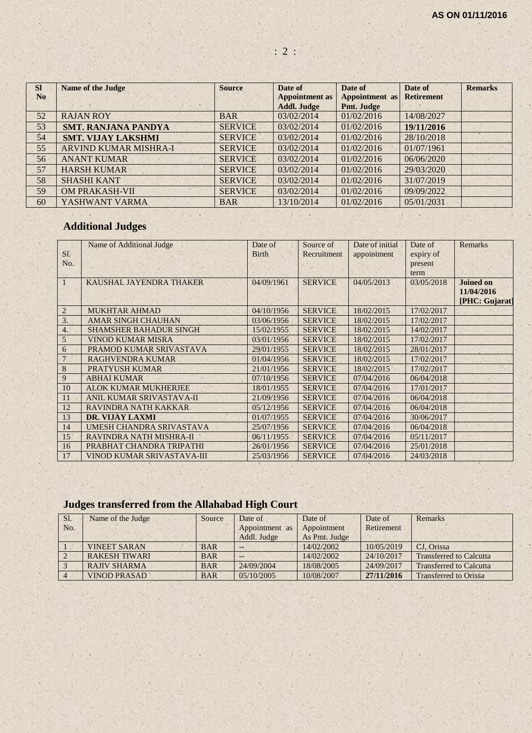| <b>SI</b>      | <b>Name of the Judge</b>     | <b>Source</b>  | Date of               | Date of        | Date of           | <b>Remarks</b> |
|----------------|------------------------------|----------------|-----------------------|----------------|-------------------|----------------|
| N <sub>o</sub> |                              |                | <b>Appointment as</b> | Appointment as | <b>Retirement</b> |                |
|                |                              |                | <b>Addl. Judge</b>    | Pmt. Judge     |                   |                |
| 52             | <b>RAJAN ROY</b>             | <b>BAR</b>     | 03/02/2014            | 01/02/2016     | 14/08/2027        |                |
| 53             | <b>SMT. RANJANA PANDYA</b>   | <b>SERVICE</b> | 03/02/2014            | 01/02/2016     | 19/11/2016        |                |
| 54             | <b>SMT. VIJAY LAKSHMI</b>    | <b>SERVICE</b> | 03/02/2014            | 01/02/2016     | 28/10/2018        |                |
| 55             | <b>ARVIND KUMAR MISHRA-I</b> | <b>SERVICE</b> | 03/02/2014            | 01/02/2016     | 01/07/1961        |                |
| 56             | <b>ANANT KUMAR</b>           | <b>SERVICE</b> | 03/02/2014            | 01/02/2016     | 06/06/2020        |                |
| 57             | <b>HARSH KUMAR</b>           | <b>SERVICE</b> | 03/02/2014            | 01/02/2016     | 29/03/2020        |                |
| 58             | <b>SHASHI KANT</b>           | <b>SERVICE</b> | 03/02/2014            | 01/02/2016     | 31/07/2019        |                |
| 59             | <b>OM PRAKASH-VII</b>        | <b>SERVICE</b> | 03/02/2014            | 01/02/2016     | 09/09/2022        |                |
| 60             | YASHWANT VARMA               | <b>BAR</b>     | 13/10/2014            | 01/02/2016     | 05/01/2031        |                |

# **Additional Judges**

|                | Name of Additional Judge      | Date of      | Source of      | Date of initial | Date of    | <b>Remarks</b>   |
|----------------|-------------------------------|--------------|----------------|-----------------|------------|------------------|
| SI.            |                               | <b>Birth</b> | Recruitment    | appointment     | expiry of  |                  |
| No.            |                               |              |                |                 | present    |                  |
|                |                               |              |                |                 | term       |                  |
|                | KAUSHAL JAYENDRA THAKER       | 04/09/1961   | <b>SERVICE</b> | 04/05/2013      | 03/05/2018 | <b>Joined on</b> |
|                |                               |              |                |                 |            | 11/04/2016       |
|                |                               |              |                |                 |            | [PHC: Gujarat]   |
| $\overline{2}$ | <b>MUKHTAR AHMAD</b>          | 04/10/1956   | <b>SERVICE</b> | 18/02/2015      | 17/02/2017 |                  |
| 3.             | <b>AMAR SINGH CHAUHAN</b>     | 03/06/1956   | <b>SERVICE</b> | 18/02/2015      | 17/02/2017 |                  |
| 4.             | <b>SHAMSHER BAHADUR SINGH</b> | 15/02/1955   | <b>SERVICE</b> | 18/02/2015      | 14/02/2017 |                  |
| 5              | <b>VINOD KUMAR MISRA</b>      | 03/01/1956   | <b>SERVICE</b> | 18/02/2015      | 17/02/2017 |                  |
| 6              | PRAMOD KUMAR SRIVASTAVA       | 29/01/1955   | <b>SERVICE</b> | 18/02/2015      | 28/01/2017 |                  |
| $\overline{7}$ | <b>RAGHVENDRA KUMAR</b>       | 01/04/1956   | <b>SERVICE</b> | 18/02/2015      | 17/02/2017 |                  |
| 8              | <b>PRATYUSH KUMAR</b>         | 21/01/1956   | <b>SERVICE</b> | 18/02/2015      | 17/02/2017 |                  |
| 9              | <b>ABHAI KUMAR</b>            | 07/10/1956   | <b>SERVICE</b> | 07/04/2016      | 06/04/2018 |                  |
| 10             | <b>ALOK KUMAR MUKHERJEE</b>   | 18/01/1955   | <b>SERVICE</b> | 07/04/2016      | 17/01/2017 |                  |
| 11             | ANIL KUMAR SRIVASTAVA-II      | 21/09/1956   | <b>SERVICE</b> | 07/04/2016      | 06/04/2018 |                  |
| 12             | RAVINDRA NATH KAKKAR          | 05/12/1956   | <b>SERVICE</b> | 07/04/2016      | 06/04/2018 |                  |
| 13             | <b>DR. VIJAY LAXMI</b>        | 01/07/1955   | <b>SERVICE</b> | 07/04/2016      | 30/06/2017 |                  |
| 14             | UMESH CHANDRA SRIVASTAVA      | 25/07/1956   | <b>SERVICE</b> | 07/04/2016      | 06/04/2018 |                  |
| 15             | RAVINDRA NATH MISHRA-II       | 06/11/1955   | <b>SERVICE</b> | 07/04/2016      | 05/11/2017 |                  |
| 16             | PRABHAT CHANDRA TRIPATHI      | 26/01/1956   | <b>SERVICE</b> | 07/04/2016      | 25/01/2018 |                  |
| 17             | VINOD KUMAR SRIVASTAVA-III    | 25/03/1956   | <b>SERVICE</b> | 07/04/2016      | 24/03/2018 |                  |

# **Judges transferred from the Allahabad High Court**

| Sl. | Name of the Judge    | Source     | Date of        | Date of       | Date of    | Remarks                        |
|-----|----------------------|------------|----------------|---------------|------------|--------------------------------|
| No. |                      |            | Appointment as | Appointment   | Retirement |                                |
|     |                      |            | Addl. Judge    | As Pmt. Judge |            |                                |
|     | <b>VINEET SARAN</b>  | <b>BAR</b> | --             | 14/02/2002    | 10/05/2019 | CJ. Orissa                     |
|     | <b>RAKESH TIWARI</b> | <b>BAR</b> | --             | 14/02/2002    | 24/10/2017 | <b>Transferred to Calcutta</b> |
|     | <b>RAJIV SHARMA</b>  | <b>BAR</b> | 24/09/2004     | 18/08/2005    | 24/09/2017 | <b>Transferred to Calcutta</b> |
|     | <b>VINOD PRASAD</b>  | <b>BAR</b> | 05/10/2005     | 10/08/2007    | 27/11/2016 | <b>Transferred to Orissa</b>   |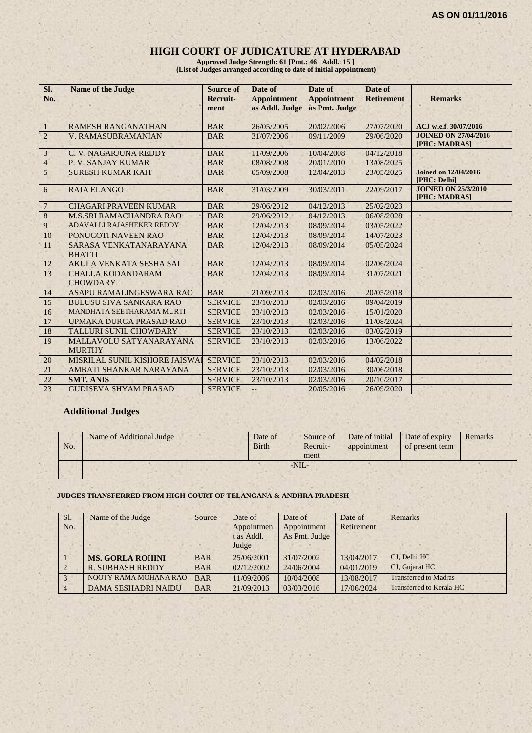#### **HIGH COURT OF JUDICATURE AT HYDERABAD**

**Approved Judge Strength: 61 [Pmt.: 46 Addl.: 15 ] (List of Judges arranged according to date of initial appointment)**

| Sl.<br>No.              | <b>Name of the Judge</b>                    | <b>Source of</b><br>Recruit-<br>ment | Date of<br><b>Appointment</b><br>as Addl. Judge | Date of<br><b>Appointment</b><br>as Pmt. Judge | Date of<br><b>Retirement</b> | <b>Remarks</b>                               |
|-------------------------|---------------------------------------------|--------------------------------------|-------------------------------------------------|------------------------------------------------|------------------------------|----------------------------------------------|
| $\mathbf{1}$            | <b>RAMESH RANGANATHAN</b>                   | <b>BAR</b>                           | 26/05/2005                                      | 20/02/2006                                     | 27/07/2020                   | ACJ w.e.f. 30/07/2016                        |
| $\sqrt{2}$              | <b>V. RAMASUBRAMANIAN</b>                   | <b>BAR</b>                           | 31/07/2006                                      | 09/11/2009                                     | 29/06/2020                   | <b>JOINED ON 27/04/2016</b><br>[PHC: MADRAS] |
| $\overline{\mathbf{3}}$ | C. V. NAGARJUNA REDDY                       | <b>BAR</b>                           | 11/09/2006                                      | 10/04/2008                                     | 04/12/2018                   |                                              |
| $\overline{4}$          | P. V. SANJAY KUMAR                          | <b>BAR</b>                           | 08/08/2008                                      | 20/01/2010                                     | 13/08/2025                   |                                              |
| 5                       | <b>SURESH KUMAR KAIT</b>                    | <b>BAR</b>                           | 05/09/2008                                      | 12/04/2013                                     | 23/05/2025                   | <b>Joined on 12/04/2016</b><br>[PHC: Delhi]  |
| 6                       | <b>RAJA ELANGO</b>                          | <b>BAR</b>                           | 31/03/2009                                      | 30/03/2011                                     | 22/09/2017                   | <b>JOINED ON 25/3/2010</b><br>[PHC: MADRAS]  |
| $\overline{7}$          | <b>CHAGARI PRAVEEN KUMAR</b>                | <b>BAR</b>                           | 29/06/2012                                      | 04/12/2013                                     | 25/02/2023                   |                                              |
| $8\,$                   | <b>M.S.SRI RAMACHANDRA RAO</b>              | <b>BAR</b>                           | 29/06/2012                                      | 04/12/2013                                     | 06/08/2028                   |                                              |
| 9                       | ADAVALLI RAJASHEKER REDDY                   | <b>BAR</b>                           | 12/04/2013                                      | 08/09/2014                                     | 03/05/2022                   |                                              |
| 10                      | PONUGOTI NAVEEN RAO                         | <b>BAR</b>                           | 12/04/2013                                      | 08/09/2014                                     | 14/07/2023                   |                                              |
| 11                      | SARASA VENKATANARAYANA<br><b>BHATTI</b>     | <b>BAR</b>                           | 12/04/2013                                      | 08/09/2014                                     | 05/05/2024                   |                                              |
| 12                      | <b>AKULA VENKATA SESHA SAI</b>              | <b>BAR</b>                           | 12/04/2013                                      | 08/09/2014                                     | 02/06/2024                   |                                              |
| 13                      | <b>CHALLA KODANDARAM</b><br><b>CHOWDARY</b> | <b>BAR</b>                           | 12/04/2013                                      | 08/09/2014                                     | 31/07/2021                   |                                              |
| 14                      | ASAPU RAMALINGESWARA RAO                    | <b>BAR</b>                           | 21/09/2013                                      | 02/03/2016                                     | 20/05/2018                   |                                              |
| 15                      | <b>BULUSU SIVA SANKARA RAO</b>              | <b>SERVICE</b>                       | 23/10/2013                                      | 02/03/2016                                     | 09/04/2019                   |                                              |
| 16                      | MANDHATA SEETHARAMA MURTI                   | <b>SERVICE</b>                       | 23/10/2013                                      | 02/03/2016                                     | 15/01/2020                   |                                              |
| 17                      | UPMAKA DURGA PRASAD RAO                     | <b>SERVICE</b>                       | 23/10/2013                                      | 02/03/2016                                     | 11/08/2024                   |                                              |
| 18                      | TALLURI SUNIL CHOWDARY                      | <b>SERVICE</b>                       | 23/10/2013                                      | 02/03/2016                                     | 03/02/2019                   |                                              |
| 19                      | MALLAVOLU SATYANARAYANA<br><b>MURTHY</b>    | <b>SERVICE</b>                       | 23/10/2013                                      | 02/03/2016                                     | 13/06/2022                   |                                              |
| 20                      | MISRILAL SUNIL KISHORE JAISWAI              | <b>SERVICE</b>                       | 23/10/2013                                      | 02/03/2016                                     | 04/02/2018                   |                                              |
| 21                      | AMBATI SHANKAR NARAYANA                     | <b>SERVICE</b>                       | 23/10/2013                                      | 02/03/2016                                     | 30/06/2018                   |                                              |
| 22                      | <b>SMT. ANIS</b>                            | <b>SERVICE</b>                       | 23/10/2013                                      | 02/03/2016                                     | 20/10/2017                   |                                              |
| 23                      | <b>GUDISEVA SHYAM PRASAD</b>                | <b>SERVICE</b>                       | $--$                                            | 20/05/2016                                     | 26/09/2020                   |                                              |

#### **Additional Judges**

| No. | Name of Additional Judge | Date of<br><b>Birth</b> |        | Source of<br>Recruit-<br>ment | Date of initial<br>appointment | Date of expiry<br>of present term | Remarks |
|-----|--------------------------|-------------------------|--------|-------------------------------|--------------------------------|-----------------------------------|---------|
|     |                          |                         | $-NII$ |                               |                                |                                   |         |
|     |                          |                         |        |                               |                                |                                   |         |

#### **JUDGES TRANSFERRED FROM HIGH COURT OF TELANGANA & ANDHRA PRADESH**

| Sl.<br>No.     | Name of the Judge          | Source     | Date of<br>Appointmen<br>t as Addl.<br>Judge | Date of<br>Appointment<br>As Pmt. Judge | Date of<br>Retirement | Remarks                      |
|----------------|----------------------------|------------|----------------------------------------------|-----------------------------------------|-----------------------|------------------------------|
|                | <b>MS. GORLA ROHINI</b>    | <b>BAR</b> | 25/06/2001                                   | 31/07/2002                              | 13/04/2017            | CJ, Delhi HC                 |
| $\overline{2}$ | <b>R. SUBHASH REDDY</b>    | <b>BAR</b> | 02/12/2002                                   | 24/06/2004                              | 04/01/2019            | CJ, Gujarat HC               |
| 3              | NOOTY RAMA MOHANA RAO      | <b>BAR</b> | 11/09/2006                                   | 10/04/2008                              | 13/08/2017            | <b>Transferred to Madras</b> |
| $\overline{4}$ | <b>DAMA SESHADRI NAIDU</b> | <b>BAR</b> | 21/09/2013                                   | 03/03/2016                              | 17/06/2024            | Transferred to Kerala HC     |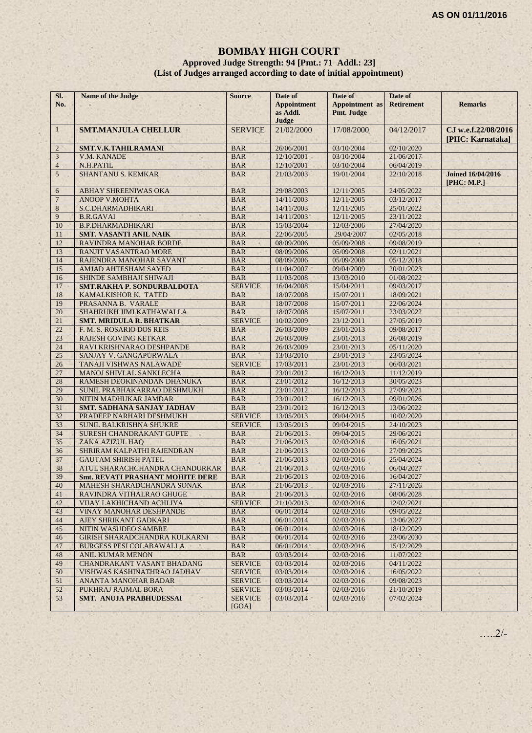#### **BOMBAY HIGH COURT Approved Judge Strength: 94 [Pmt.: 71 Addl.: 23] (List of Judges arranged according to date of initial appointment)**

| SI.<br>No.     | Name of the Judge                       | <b>Source</b>           | Date of<br><b>Appointment</b><br>as Addl.<br>Judge | Date of<br><b>Appointment</b> as<br>Pmt. Judge | Date of<br><b>Retirement</b> | <b>Remarks</b>                          |
|----------------|-----------------------------------------|-------------------------|----------------------------------------------------|------------------------------------------------|------------------------------|-----------------------------------------|
| $\mathbf{1}$   | <b>SMT.MANJULA CHELLUR</b>              | <b>SERVICE</b>          | 21/02/2000                                         | 17/08/2000                                     | 04/12/2017                   | CJ w.e.f.22/08/2016<br>[PHC: Karnataka] |
| $\overline{2}$ | <b>SMT.V.K.TAHILRAMANI</b>              | <b>BAR</b>              | 26/06/2001                                         | 03/10/2004                                     | 02/10/2020                   |                                         |
| $\mathfrak{Z}$ | V.M. KANADE                             | <b>BAR</b>              | 12/10/2001                                         | 03/10/2004                                     | 21/06/2017                   |                                         |
| $\overline{4}$ | N.H.PATIL                               | <b>BAR</b>              | 12/10/2001                                         | 03/10/2004                                     | 06/04/2019                   |                                         |
| 5              | <b>SHANTANU S. KEMKAR</b>               | <b>BAR</b>              | 21/03/2003                                         | 19/01/2004                                     | 22/10/2018                   | <b>Joined 16/04/2016</b><br>[PHC: M.P.] |
| 6              | ABHAY SHREENIWAS OKA                    | <b>BAR</b>              | 29/08/2003                                         | 12/11/2005                                     | 24/05/2022                   |                                         |
| $\overline{7}$ | <b>ANOOP V.MOHTA</b>                    | <b>BAR</b>              | 14/11/2003                                         | 12/11/2005                                     | 03/12/2017                   |                                         |
| 8              | S.C.DHARMADHIKARI                       | <b>BAR</b>              | 14/11/2003                                         | 12/11/2005                                     | 25/01/2022                   |                                         |
| 9              | <b>B.R.GAVAI</b>                        | <b>BAR</b>              | 14/11/2003                                         | 12/11/2005                                     | 23/11/2022                   |                                         |
| 10             | <b>B.P.DHARMADHIKARI</b>                | <b>BAR</b>              | 15/03/2004                                         | 12/03/2006                                     | 27/04/2020                   |                                         |
| 11             | <b>SMT. VASANTI ANIL NAIK</b>           | <b>BAR</b>              | 22/06/2005                                         | 29/04/2007                                     | 02/05/2018                   |                                         |
| 12             | RAVINDRA MANOHAR BORDE                  | <b>BAR</b>              | 08/09/2006                                         | 05/09/2008                                     | 09/08/2019                   |                                         |
| 13             | <b>RANJIT VASANTRAO MORE</b>            | <b>BAR</b>              | 08/09/2006                                         | 05/09/2008                                     | 02/11/2021                   |                                         |
| 14             | RAJENDRA MANOHAR SAVANT                 | <b>BAR</b>              | 08/09/2006                                         | 05/09/2008                                     | 05/12/2018                   |                                         |
| 15             | <b>AMJAD AHTESHAM SAYED</b>             | <b>BAR</b>              | 11/04/2007                                         | 09/04/2009                                     | 20/01/2023                   |                                         |
| 16             | SHINDE SAMBHAJI SHIWAJI                 | <b>BAR</b>              | 11/03/2008                                         | 13/03/2010                                     | 01/08/2022                   |                                         |
| 17             | <b>SMT.RAKHA P. SONDURBALDOTA</b>       | <b>SERVICE</b>          | 16/04/2008                                         | 15/04/2011                                     | 09/03/2017                   |                                         |
| 18             | KAMALKISHOR K. TATED                    | <b>BAR</b>              | 18/07/2008                                         | 15/07/2011                                     | 18/09/2021                   |                                         |
| 19             | PRASANNA B. VARALE                      | <b>BAR</b>              | 18/07/2008                                         | 15/07/2011                                     | 22/06/2024                   |                                         |
| 20             | SHAHRUKH JIMI KATHAWALLA                | <b>BAR</b>              | 18/07/2008                                         | 15/07/2011                                     | 23/03/2022                   |                                         |
| 21             | <b>SMT. MRIDULA R. BHATKAR</b>          | <b>SERVICE</b>          | 10/02/2009                                         | 23/12/2011                                     | 27/05/2019                   |                                         |
| 22             | F. M. S. ROSARIO DOS REIS               | <b>BAR</b>              | 26/03/2009                                         | 23/01/2013                                     | 09/08/2017                   |                                         |
| 23             | <b>RAJESH GOVING KETKAR</b>             | <b>BAR</b>              | 26/03/2009                                         | 23/01/2013                                     | 26/08/2019                   |                                         |
| 24             | RAVI KRISHNARAO DESHPANDE               | <b>BAR</b>              | 26/03/2009                                         | 23/01/2013                                     | 05/11/2020                   |                                         |
| 25             | SANJAY V. GANGAPURWALA                  | <b>BAR</b>              | 13/03/2010                                         | 23/01/2013                                     | 23/05/2024                   |                                         |
| 26             | TANAJI VISHWAS NALAWADE                 | <b>SERVICE</b>          | 17/03/2011                                         | 23/01/2013                                     | 06/03/2021                   |                                         |
| 27             | MANOJ SHIVLAL SANKLECHA                 | <b>BAR</b>              | 23/01/2012                                         | 16/12/2013                                     | 11/12/2019                   |                                         |
| 28             | RAMESH DEOKINANDAN DHANUKA              | <b>BAR</b>              | 23/01/2012                                         | 16/12/2013                                     | 30/05/2023                   |                                         |
| 29             | SUNIL PRABHAKARRAO DESHMUKH             | <b>BAR</b>              | 23/01/2012                                         | 16/12/2013                                     | 27/09/2021                   |                                         |
| 30             | NITIN MADHUKAR JAMDAR                   | <b>BAR</b>              | 23/01/2012                                         | 16/12/2013                                     | 09/01/2026                   |                                         |
| 31             | <b>SMT. SADHANA SANJAY JADHAV</b>       | <b>BAR</b>              | 23/01/2012                                         | 16/12/2013                                     | 13/06/2022                   |                                         |
| 32             | PRADEEP NARHARI DESHMUKH                | <b>SERVICE</b>          | 13/05/2013                                         | 09/04/2015                                     | 10/02/2020                   |                                         |
| 33             | SUNIL BALKRISHNA SHUKRE                 | <b>SERVICE</b>          | 13/05/2013                                         | 09/04/2015                                     | 24/10/2023                   |                                         |
| 34             | SURESH CHANDRAKANT GUPTE                | <b>BAR</b>              | 21/06/2013                                         | 09/04/2015                                     | 29/06/2021                   |                                         |
| 35             | ZAKA AZIZUL HAO                         | <b>BAR</b>              | 21/06/2013                                         | 02/03/2016                                     | 16/05/2021                   |                                         |
| 36             | SHRIRAM KALPATHI RAJENDRAN              | <b>BAR</b>              | 21/06/2013                                         | 02/03/2016                                     | 27/09/2025                   |                                         |
| 37             | <b>GAUTAM SHIRISH PATEL</b>             | <b>BAR</b>              | 21/06/2013                                         | 02/03/2016                                     | 25/04/2024                   |                                         |
| 38             | ATUL SHARACHCHANDRA CHANDURKAR          | <b>BAR</b>              | 21/06/2013                                         | 02/03/2016                                     | 06/04/2027                   |                                         |
| 39             | <b>Smt. REVATI PRASHANT MOHITE DERE</b> | <b>BAR</b>              | 21/06/2013                                         | 02/03/2016                                     | 16/04/2027                   |                                         |
| 40             | MAHESH SHARADCHANDRA SONAK              | <b>BAR</b>              | 21/06/2013                                         | 02/03/2016                                     | 27/11/2026                   |                                         |
| 41             | RAVINDRA VITHALRAO GHUGE                | <b>BAR</b>              | 21/06/2013                                         | 02/03/2016                                     | 08/06/2028                   |                                         |
| 42             | VIJAY LAKHICHAND ACHLIYA                | <b>SERVICE</b>          | 21/10/2013                                         | 02/03/2016                                     | 12/02/2021                   |                                         |
| 43             | <b>VINAY MANOHAR DESHPANDE</b>          | <b>BAR</b>              | 06/01/2014                                         | 02/03/2016                                     | 09/05/2022                   |                                         |
| 44             | AJEY SHRIKANT GADKARI                   | <b>BAR</b>              | 06/01/2014                                         | 02/03/2016                                     | 13/06/2027                   |                                         |
| 45             | NITIN WASUDEO SAMBRE                    | <b>BAR</b>              | 06/01/2014                                         | 02/03/2016                                     | 18/12/2029                   |                                         |
| 46             | <b>GIRISH SHARADCHANDRA KULKARNI</b>    | <b>BAR</b>              | 06/01/2014                                         | 02/03/2016                                     | 23/06/2030                   |                                         |
| 47             | BURGESS PESI COLABAWALLA                | <b>BAR</b>              | 06/01/2014                                         | 02/03/2016                                     | 15/12/2029                   |                                         |
| 48             | <b>ANIL KUMAR MENON</b>                 | <b>BAR</b>              | 03/03/2014                                         | 02/03/2016                                     | 11/07/2022                   |                                         |
| 49             | <b>CHANDRAKANT VASANT BHADANG</b>       | <b>SERVICE</b>          | 03/03/2014                                         | 02/03/2016                                     | 04/11/2022                   |                                         |
| 50             | VISHWAS KASHINATHRAO JADHAV             | <b>SERVICE</b>          | 03/03/2014                                         | 02/03/2016                                     | 16/05/2022                   |                                         |
| 51             | ANANTA MANOHAR BADAR                    | <b>SERVICE</b>          | 03/03/2014                                         | 02/03/2016                                     | 09/08/2023                   |                                         |
| 52             | PUKHRAJ RAJMAL BORA                     | <b>SERVICE</b>          | 03/03/2014                                         | 02/03/2016                                     | 21/10/2019                   |                                         |
| 53             | <b>SMT. ANUJA PRABHUDESSAI</b>          | <b>SERVICE</b><br>[GOA] | 03/03/2014                                         | 02/03/2016                                     | 07/02/2024                   |                                         |

…..2/-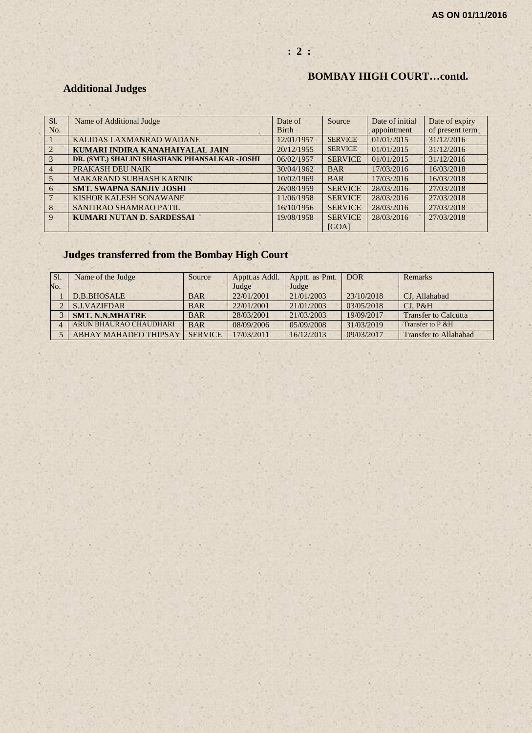# **: 2 :**

# **BOMBAY HIGH COURT…contd.**

# **Additional Judges**

| SI.            | Name of Additional Judge                      | Date of      | Source         | Date of initial | Date of expiry  |
|----------------|-----------------------------------------------|--------------|----------------|-----------------|-----------------|
| No.            |                                               | <b>Birth</b> |                | appointment     | of present term |
|                | KALIDAS LAXMANRAO WADANE                      | 12/01/1957   | <b>SERVICE</b> | 01/01/2015      | 31/12/2016      |
| $\overline{2}$ | KUMARI INDIRA KANAHAIYALAL JAIN               | 20/12/1955   | <b>SERVICE</b> | 01/01/2015      | 31/12/2016      |
| $\mathcal{R}$  | DR. (SMT.) SHALINI SHASHANK PHANSALKAR -JOSHI | 06/02/1957   | <b>SERVICE</b> | 01/01/2015      | 31/12/2016      |
| $\overline{4}$ | PRAKASH DEU NAIK                              | 30/04/1962   | <b>BAR</b>     | 17/03/2016      | 16/03/2018      |
| 5              | <b>MAKARAND SUBHASH KARNIK</b>                | 10/02/1969   | <b>BAR</b>     | 17/03/2016      | 16/03/2018      |
| 6              | <b>SMT. SWAPNA SANJIV JOSHI</b>               | 26/08/1959   | <b>SERVICE</b> | 28/03/2016      | 27/03/2018      |
|                | KISHOR KALESH SONAWANE                        | 11/06/1958   | <b>SERVICE</b> | 28/03/2016      | 27/03/2018      |
| $\mathbf{8}$   | SANITRAO SHAMRAO PATIL                        | 16/10/1956   | <b>SERVICE</b> | 28/03/2016      | 27/03/2018      |
| $\mathbf{Q}$   | KUMARI NUTAN D. SARDESSAI                     | 19/08/1958   | <b>SERVICE</b> | 28/03/2016      | 27/03/2018      |
|                |                                               |              | [GOA]          |                 |                 |

# **Judges transferred from the Bombay High Court**

| SI. | Name of the Judge            | Source         | Apptt.as Addl. | Apptt. as Pmt. | <b>DOR</b> | Remarks                      |
|-----|------------------------------|----------------|----------------|----------------|------------|------------------------------|
| No. |                              |                | Judge          | Judge          |            |                              |
|     | D.B.BHOSALE                  | <b>BAR</b>     | 22/01/2001     | 21/01/2003     | 23/10/2018 | CJ, Allahabad                |
|     | <b>S.J.VAZIFDAR</b>          | <b>BAR</b>     | 22/01/2001     | 21/01/2003     | 03/05/2018 | CI. P&H                      |
|     | <b>SMT. N.N.MHATRE</b>       | <b>BAR</b>     | 28/03/2001     | 21/03/2003     | 19/09/2017 | <b>Transfer to Calcutta</b>  |
|     | ARUN BHAURAO CHAUDHARI       | <b>BAR</b>     | 08/09/2006     | 05/09/2008     | 31/03/2019 | Transfer to P & H            |
|     | <b>ABHAY MAHADEO THIPSAY</b> | <b>SERVICE</b> | 17/03/2011     | 16/12/2013     | 09/03/2017 | <b>Transfer to Allahabad</b> |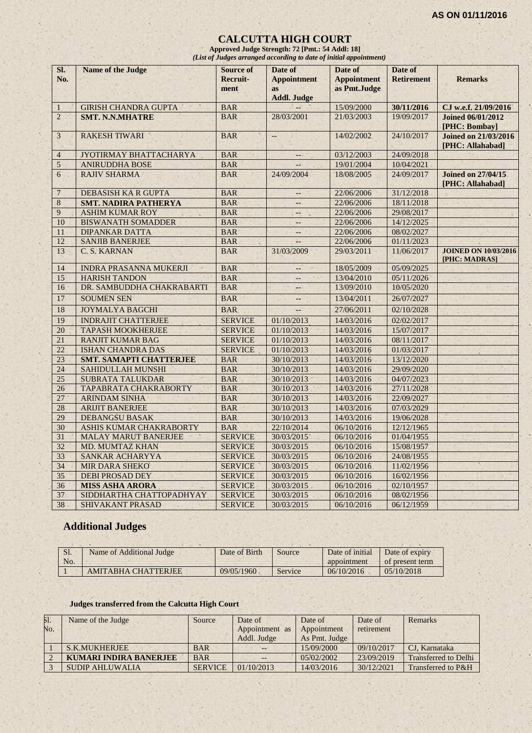#### **CALCUTTA HIGH COURT**

**Approved Judge Strength: 72 [Pmt.: 54 Addl: 18]** *(List of Judges arranged according to date of initial appointment)*

| SI.<br>No.      | <b>Name of the Judge</b>       | <b>Source of</b><br>Recruit-<br>ment | Date of<br><b>Appointment</b><br><b>as</b><br><b>Addl. Judge</b> | Date of<br><b>Appointment</b><br>as Pmt.Judge | Date of<br><b>Retirement</b> | <b>Remarks</b>                                  |
|-----------------|--------------------------------|--------------------------------------|------------------------------------------------------------------|-----------------------------------------------|------------------------------|-------------------------------------------------|
| $\mathbf{1}$    | <b>GIRISH CHANDRA GUPTA</b>    | <b>BAR</b>                           |                                                                  | 15/09/2000                                    | 30/11/2016                   | CJ w.e.f. 21/09/2016                            |
| $\overline{2}$  | <b>SMT. N.N.MHATRE</b>         | <b>BAR</b>                           | 28/03/2001                                                       | 21/03/2003                                    | 19/09/2017                   | <b>Joined 06/01/2012</b><br>[PHC: Bombay]       |
| 3               | <b>RAKESH TIWARI</b>           | <b>BAR</b>                           | $\overline{\phantom{a}}$                                         | 14/02/2002                                    | 24/10/2017                   | <b>Joined on 21/03/2016</b><br>[PHC: Allahabad] |
| 4               | JYOTIRMAY BHATTACHARYA         | <b>BAR</b>                           | $--$                                                             | 03/12/2003                                    | 24/09/2018                   |                                                 |
| 5               | <b>ANIRUDDHA BOSE</b>          | <b>BAR</b>                           | $-$                                                              | 19/01/2004                                    | 10/04/2021                   |                                                 |
| 6               | <b>RAJIV SHARMA</b>            | <b>BAR</b>                           | 24/09/2004                                                       | 18/08/2005                                    | 24/09/2017                   | <b>Joined on 27/04/15</b><br>[PHC: Allahabad]   |
| $\overline{7}$  | <b>DEBASISH KA R GUPTA</b>     | <b>BAR</b>                           | $\overline{\phantom{a}}$                                         | 22/06/2006                                    | 31/12/2018                   |                                                 |
| 8               | <b>SMT. NADIRA PATHERYA</b>    | <b>BAR</b>                           | $\overline{\phantom{a}}$                                         | 22/06/2006                                    | 18/11/2018                   |                                                 |
| 9               | <b>ASHIM KUMAR ROY</b>         | <b>BAR</b>                           | $-$                                                              | 22/06/2006                                    | 29/08/2017                   |                                                 |
| 10              | <b>BISWANATH SOMADDER</b>      | <b>BAR</b>                           | $\frac{1}{2}$                                                    | 22/06/2006                                    | 14/12/2025                   |                                                 |
| 11              | <b>DIPANKAR DATTA</b>          | <b>BAR</b>                           | $\overline{\phantom{a}}$                                         | 22/06/2006                                    | 08/02/2027                   |                                                 |
| 12              | <b>SANJIB BANERJEE</b>         | <b>BAR</b>                           | a.                                                               | 22/06/2006                                    | 01/11/2023                   |                                                 |
| 13              | C. S. KARNAN                   | <b>BAR</b>                           | 31/03/2009                                                       | 29/03/2011                                    | 11/06/2017                   | <b>JOINED ON 10/03/2016</b><br>[PHC: MADRAS]    |
| 14              | <b>INDRA PRASANNA MUKERJI</b>  | <b>BAR</b>                           | --1<br>$\sim$                                                    | 18/05/2009                                    | 05/09/2025                   |                                                 |
| 15              | <b>HARISH TANDON</b>           | <b>BAR</b>                           | $\overline{\phantom{a}}$                                         | 13/04/2010                                    | 05/11/2026                   |                                                 |
| 16              | DR. SAMBUDDHA CHAKRABARTI      | <b>BAR</b>                           | $\overline{\phantom{a}}$                                         | 13/09/2010                                    | 10/05/2020                   |                                                 |
| 17              | <b>SOUMEN SEN</b>              | <b>BAR</b>                           | $-$                                                              | 13/04/2011                                    | 26/07/2027                   |                                                 |
| 18              | <b>JOYMALYA BAGCHI</b>         | <b>BAR</b>                           |                                                                  | 27/06/2011                                    | 02/10/2028                   |                                                 |
| 19              | <b>INDRAJIT CHATTERJEE</b>     | <b>SERVICE</b>                       | 01/10/2013                                                       | 14/03/2016                                    | 02/02/2017                   |                                                 |
| 20              | <b>TAPASH MOOKHERJEE</b>       | <b>SERVICE</b>                       | 01/10/2013                                                       | 14/03/2016                                    | 15/07/2017                   |                                                 |
| $\overline{21}$ | <b>RANJIT KUMAR BAG</b>        | <b>SERVICE</b>                       | 01/10/2013                                                       | 14/03/2016                                    | 08/11/2017                   |                                                 |
| 22              | <b>ISHAN CHANDRA DAS</b>       | <b>SERVICE</b>                       | 01/10/2013                                                       | 14/03/2016                                    | 01/03/2017                   |                                                 |
| $\overline{23}$ | <b>SMT. SAMAPTI CHATTERJEE</b> | <b>BAR</b>                           | 30/10/2013                                                       | 14/03/2016                                    | 13/12/2020                   |                                                 |
| 24              | <b>SAHIDULLAH MUNSHI</b>       | <b>BAR</b>                           | 30/10/2013                                                       | 14/03/2016                                    | 29/09/2020                   |                                                 |
| 25              | <b>SUBRATA TALUKDAR</b>        | <b>BAR</b>                           | 30/10/2013                                                       | 14/03/2016                                    | 04/07/2023                   |                                                 |
| 26              | TAPABRATA CHAKRABORTY          | <b>BAR</b>                           | 30/10/2013                                                       | 14/03/2016                                    | 27/11/2028                   |                                                 |
| 27              | <b>ARINDAM SINHA</b>           | <b>BAR</b>                           | 30/10/2013                                                       | 14/03/2016                                    | 22/09/2027                   |                                                 |
| 28              | <b>ARIJIT BANERJEE</b>         | <b>BAR</b>                           | 30/10/2013                                                       | 14/03/2016                                    | 07/03/2029                   |                                                 |
| 29              | <b>DEBANGSU BASAK</b>          | <b>BAR</b>                           | 30/10/2013                                                       | 14/03/2016                                    | 19/06/2028                   |                                                 |
| 30              | <b>ASHIS KUMAR CHAKRABORTY</b> | <b>BAR</b>                           | 22/10/2014                                                       | 06/10/2016                                    | 12/12/1965                   |                                                 |
| 31              | <b>MALAY MARUT BANERJEE</b>    | <b>SERVICE</b>                       | 30/03/2015                                                       | 06/10/2016                                    | 01/04/1955                   |                                                 |
| 32              | <b>MD. MUMTAZ KHAN</b>         | <b>SERVICE</b>                       | 30/03/2015                                                       | 06/10/2016                                    | 15/08/1957                   |                                                 |
| 33              | SANKAR ACHARYYA                | <b>SERVICE</b>                       | 30/03/2015                                                       | 06/10/2016                                    | 24/08/1955                   |                                                 |
| 34              | <b>MIR DARA SHEKO</b>          | <b>SERVICE</b>                       | 30/03/2015                                                       | 06/10/2016                                    | 11/02/1956                   |                                                 |
| $\overline{35}$ | <b>DEBI PROSAD DEY</b>         | <b>SERVICE</b>                       | 30/03/2015                                                       | 06/10/2016                                    | 16/02/1956                   |                                                 |
| $\overline{36}$ | <b>MISS ASHA ARORA</b>         | <b>SERVICE</b>                       | 30/03/2015                                                       | 06/10/2016                                    | 02/10/1957                   |                                                 |
| 37              | SIDDHARTHA CHATTOPADHYAY       | <b>SERVICE</b>                       | 30/03/2015                                                       | 06/10/2016                                    | 08/02/1956                   |                                                 |
| 38              | <b>SHIVAKANT PRASAD</b>        | <b>SERVICE</b>                       | 30/03/2015                                                       | 06/10/2016                                    | 06/12/1959                   |                                                 |

# **Additional Judges**

| Sl.<br>No. | Name of Additional Judge | Date of Birth | Source  | Date of initial<br>appointment | Date of expiry<br>of present term |
|------------|--------------------------|---------------|---------|--------------------------------|-----------------------------------|
|            | AMITABHA CHATTERJEE      | 09/05/1960    | Service | 06/10/2016                     | 0.5/10/2018                       |

#### **Judges transferred from the Calcutta High Court**

| 51. | Name of the Judge             | Source         | Date of        | Date of       | Date of    | <b>Remarks</b>              |
|-----|-------------------------------|----------------|----------------|---------------|------------|-----------------------------|
| No. |                               |                | Appointment as | Appointment   | retirement |                             |
|     |                               |                | Addl. Judge    | As Pmt. Judge |            |                             |
|     | S.K.MUKHERJEE                 | <b>BAR</b>     |                | 15/09/2000    | 09/10/2017 | CJ. Karnataka               |
|     | <b>KUMARI INDIRA BANERJEE</b> | <b>BAR</b>     |                | 0.5/02/2002   | 23/09/2019 | <b>Transferred to Delhi</b> |
|     | <b>SUDIP AHLUWALIA</b>        | <b>SERVICE</b> | 01/10/2013     | 14/03/2016    | 30/12/2021 | Transferred to P&H          |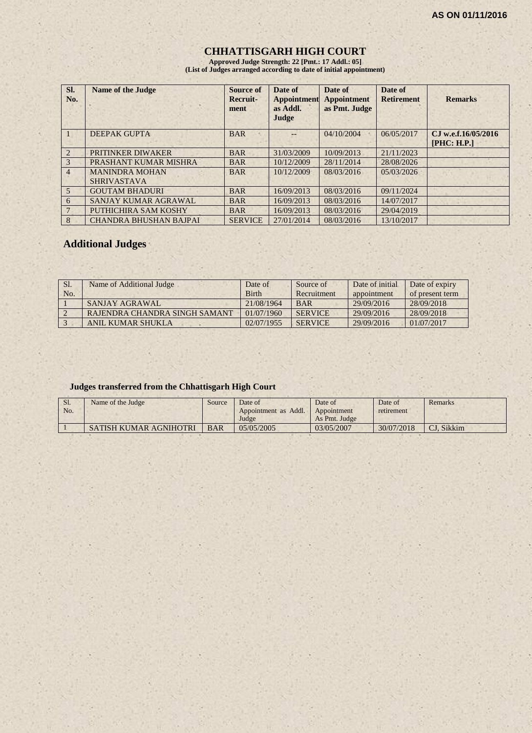# **CHHATTISGARH HIGH COURT**

**Approved Judge Strength: 22 [Pmt.: 17 Addl.: 05] (List of Judges arranged according to date of initial appointment)**

| SI.<br>No.      | <b>Name of the Judge</b>                    | Source of<br>Recruit-<br>ment | Date of<br><b>Appointment</b><br>as Addl.<br>Judge | Date of<br><b>Appointment</b><br>as Pmt. Judge | Date of<br><b>Retirement</b> | <b>Remarks</b>                     |
|-----------------|---------------------------------------------|-------------------------------|----------------------------------------------------|------------------------------------------------|------------------------------|------------------------------------|
|                 | <b>DEEPAK GUPTA</b>                         | <b>BAR</b>                    |                                                    | 04/10/2004                                     | 06/05/2017                   | CJ w.e.f.16/05/2016<br>[PHC: H.P.] |
| $\overline{2}$  | PRITINKER DIWAKER                           | <b>BAR</b>                    | 31/03/2009                                         | 10/09/2013                                     | 21/11/2023                   |                                    |
| $\overline{3}$  | PRASHANT KUMAR MISHRA                       | <b>BAR</b>                    | 10/12/2009                                         | 28/11/2014                                     | 28/08/2026                   |                                    |
| $\overline{4}$  | <b>MANINDRA MOHAN</b><br><b>SHRIVASTAVA</b> | <b>BAR</b>                    | 10/12/2009                                         | 08/03/2016                                     | 05/03/2026                   |                                    |
| $5\overline{)}$ | <b>GOUTAM BHADURI</b>                       | <b>BAR</b>                    | 16/09/2013                                         | 08/03/2016                                     | 09/11/2024                   |                                    |
| 6               | SANJAY KUMAR AGRAWAL                        | <b>BAR</b>                    | 16/09/2013                                         | 08/03/2016                                     | 14/07/2017                   |                                    |
|                 | PUTHICHIRA SAM KOSHY                        | <b>BAR</b>                    | 16/09/2013                                         | 08/03/2016                                     | 29/04/2019                   |                                    |
| 8               | <b>CHANDRA BHUSHAN BAJPAI</b>               | <b>SERVICE</b>                | 27/01/2014                                         | 08/03/2016                                     | 13/10/2017                   |                                    |

# **Additional Judges**

| Sl. | Name of Additional Judge      | Date of      | Source of      | Date of initial | Date of expiry  |
|-----|-------------------------------|--------------|----------------|-----------------|-----------------|
| No. |                               | <b>Birth</b> | Recruitment    | appointment     | of present term |
|     | SANJAY AGRAWAL                | 21/08/1964   | <b>BAR</b>     | 29/09/2016      | 28/09/2018      |
|     | RAJENDRA CHANDRA SINGH SAMANT | 01/07/1960   | <b>SERVICE</b> | 29/09/2016      | 28/09/2018      |
|     | ANIL KUMAR SHUKLA             | 02/07/1955   | <b>SERVICE</b> | 29/09/2016      | 01/07/2017      |

#### **Judges transferred from the Chhattisgarh High Court**

| $S1$ . | Name of the Judge      | Source     | Date of              | Date of       | Date of    | Remarks    |
|--------|------------------------|------------|----------------------|---------------|------------|------------|
| No.    |                        |            | Appointment as Addl. | Appointment   | retirement |            |
|        |                        |            | Judge                | As Pmt. Judge |            |            |
|        | SATISH KUMAR AGNIHOTRI | <b>BAR</b> | 05/05/2005           | 03/05/2007    | 30/07/2018 | CJ. Sikkim |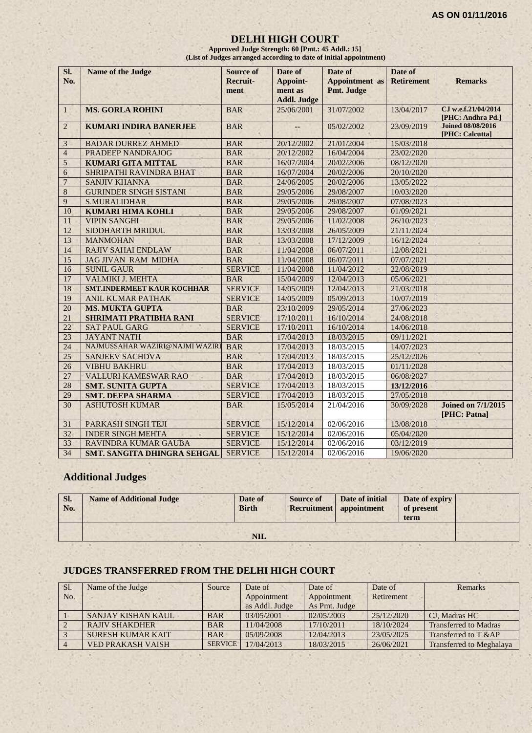#### **DELHI HIGH COURT**

**Approved Judge Strength: 60 [Pmt.: 45 Addl.: 15] (List of Judges arranged according to date of initial appointment)**

| SI.             | <b>Name of the Judge</b>          | <b>Source of</b> | Date of            | Date of               | Date of           |                                             |
|-----------------|-----------------------------------|------------------|--------------------|-----------------------|-------------------|---------------------------------------------|
| No.             |                                   | <b>Recruit-</b>  | Appoint-           | <b>Appointment</b> as | <b>Retirement</b> | <b>Remarks</b>                              |
|                 |                                   | ment             | ment as            | Pmt. Judge            |                   |                                             |
|                 |                                   |                  | <b>Addl. Judge</b> |                       |                   |                                             |
| $\mathbf{1}$    | <b>MS. GORLA ROHINI</b>           | <b>BAR</b>       | 25/06/2001         | 31/07/2002            | 13/04/2017        | CJ w.e.f.21/04/2014<br>[PHC: Andhra Pd.]    |
| $\overline{2}$  | <b>KUMARI INDIRA BANERJEE</b>     | <b>BAR</b>       |                    | 05/02/2002            | 23/09/2019        | <b>Joined 08/08/2016</b><br>[PHC: Calcutta] |
| 3               | <b>BADAR DURREZ AHMED</b>         | <b>BAR</b>       | 20/12/2002         | 21/01/2004            | 15/03/2018        |                                             |
| $\overline{4}$  | PRADEEP NANDRAJOG                 | <b>BAR</b>       | 20/12/2002         | 16/04/2004            | 23/02/2020        |                                             |
| 5               | <b>KUMARI GITA MITTAL</b>         | <b>BAR</b>       | 16/07/2004         | 20/02/2006            | 08/12/2020        |                                             |
| 6               | SHRIPATHI RAVINDRA BHAT           | <b>BAR</b>       | 16/07/2004         | 20/02/2006            | 20/10/2020        |                                             |
| $\overline{7}$  | <b>SANJIV KHANNA</b>              | <b>BAR</b>       | 24/06/2005         | 20/02/2006            | 13/05/2022        |                                             |
| 8               | <b>GURINDER SINGH SISTANI</b>     | <b>BAR</b>       | 29/05/2006         | 29/08/2007            | 10/03/2020        |                                             |
| 9               | <b>S.MURALIDHAR</b>               | <b>BAR</b>       | 29/05/2006         | 29/08/2007            | 07/08/2023        |                                             |
| 10              | <b>KUMARI HIMA KOHLI</b>          | <b>BAR</b>       | 29/05/2006         | 29/08/2007            | 01/09/2021        |                                             |
| 11              | <b>VIPIN SANGHI</b>               | <b>BAR</b>       | 29/05/2006         | 11/02/2008            | 26/10/2023        |                                             |
| 12              | SIDDHARTH MRIDUL                  | <b>BAR</b>       | 13/03/2008         | 26/05/2009            | 21/11/2024        |                                             |
| 13              | <b>MANMOHAN</b>                   | <b>BAR</b>       | 13/03/2008         | 17/12/2009            | 16/12/2024        |                                             |
| 14              | <b>RAJIV SAHAI ENDLAW</b>         | <b>BAR</b>       | 11/04/2008         | 06/07/2011            | 12/08/2021        |                                             |
| 15              | <b>JAG JIVAN RAM MIDHA</b>        | <b>BAR</b>       | 11/04/2008         | 06/07/2011            | 07/07/2021        |                                             |
| 16              | <b>SUNIL GAUR</b>                 | <b>SERVICE</b>   | 11/04/2008         | 11/04/2012            | 22/08/2019        |                                             |
| 17              | VALMIKI J. MEHTA                  | <b>BAR</b>       | 15/04/2009         | 12/04/2013            | 05/06/2021        |                                             |
| 18              | <b>SMT.INDERMEET KAUR KOCHHAR</b> | <b>SERVICE</b>   | 14/05/2009         | 12/04/2013            | 21/03/2018        |                                             |
| 19              | <b>ANIL KUMAR PATHAK</b>          | <b>SERVICE</b>   | 14/05/2009         | 05/09/2013            | 10/07/2019        |                                             |
| 20              | <b>MS. MUKTA GUPTA</b>            | <b>BAR</b>       | 23/10/2009         | 29/05/2014            | 27/06/2023        |                                             |
| 21              | <b>SHRIMATI PRATIBHA RANI</b>     | <b>SERVICE</b>   | 17/10/2011         | 16/10/2014            | 24/08/2018        |                                             |
| 22              | <b>SAT PAUL GARG</b>              | <b>SERVICE</b>   | 17/10/2011         | 16/10/2014            | 14/06/2018        |                                             |
| 23              | <b>JAYANT NATH</b>                | <b>BAR</b>       | 17/04/2013         | 18/03/2015            | 09/11/2021        |                                             |
| 24              | NAJMUSSAHAR WAZIRI@NAJMI WAZIRI   | <b>BAR</b>       | 17/04/2013         | 18/03/2015            | 14/07/2023        |                                             |
| $\overline{25}$ | <b>SANJEEV SACHDVA</b>            | <b>BAR</b>       | 17/04/2013         | 18/03/2015            | 25/12/2026        |                                             |
| 26              | <b>VIBHU BAKHRU</b>               | <b>BAR</b>       | 17/04/2013         | 18/03/2015            | 01/11/2028        |                                             |
| 27              | VALLURI KAMESWAR RAO              | <b>BAR</b>       | 17/04/2013         | 18/03/2015            | 06/08/2027        |                                             |
| 28              | <b>SMT. SUNITA GUPTA</b>          | <b>SERVICE</b>   | 17/04/2013         | 18/03/2015            | 13/12/2016        |                                             |
| 29              | <b>SMT. DEEPA SHARMA</b>          | <b>SERVICE</b>   | 17/04/2013         | 18/03/2015            | 27/05/2018        |                                             |
| 30              | <b>ASHUTOSH KUMAR</b>             | <b>BAR</b>       | 15/05/2014         | 21/04/2016            | 30/09/2028        | <b>Joined on 7/1/2015</b><br>[PHC: Patna]   |
| 31              | PARKASH SINGH TEJI                | <b>SERVICE</b>   | 15/12/2014         | 02/06/2016            | 13/08/2018        |                                             |
| 32              | <b>INDER SINGH MEHTA</b>          | <b>SERVICE</b>   | 15/12/2014         | 02/06/2016            | 05/04/2020        |                                             |
| 33              | <b>RAVINDRA KUMAR GAUBA</b>       | <b>SERVICE</b>   | 15/12/2014         | 02/06/2016            | 03/12/2019        |                                             |
| 34              | SMT. SANGITA DHINGRA SEHGAL       | <b>SERVICE</b>   | 15/12/2014         | 02/06/2016            | 19/06/2020        |                                             |

# **Additional Judges**

| SI.<br>No. | <b>Name of Additional Judge</b> | Date of<br><b>Birth</b> | <b>Source of</b> | Date of initial<br>Recruitment appointment | Date of expiry<br>of present<br>term |  |
|------------|---------------------------------|-------------------------|------------------|--------------------------------------------|--------------------------------------|--|
|            |                                 | NIL                     |                  |                                            |                                      |  |

# **JUDGES TRANSFERRED FROM THE DELHI HIGH COURT**

| Sl. | Name of the Judge        | Source         | Date of        | Date of       | Date of    | Remarks                         |
|-----|--------------------------|----------------|----------------|---------------|------------|---------------------------------|
| No. |                          |                | Appointment    | Appointment   | Retirement |                                 |
|     |                          |                | as Addl. Judge | As Pmt. Judge |            |                                 |
|     | SANJAY KISHAN KAUL       | <b>BAR</b>     | 03/05/2001     | 02/05/2003    | 25/12/2020 | CJ, Madras HC                   |
|     | <b>RAJIV SHAKDHER</b>    | <b>BAR</b>     | 11/04/2008     | 17/10/2011    | 18/10/2024 | <b>Transferred to Madras</b>    |
|     | <b>SURESH KUMAR KAIT</b> | <b>BAR</b>     | 05/09/2008     | 12/04/2013    | 23/05/2025 | Transferred to T &AP            |
|     | <b>VED PRAKASH VAISH</b> | <b>SERVICE</b> | 17/04/2013     | 18/03/2015    | 26/06/2021 | <b>Transferred to Meghalaya</b> |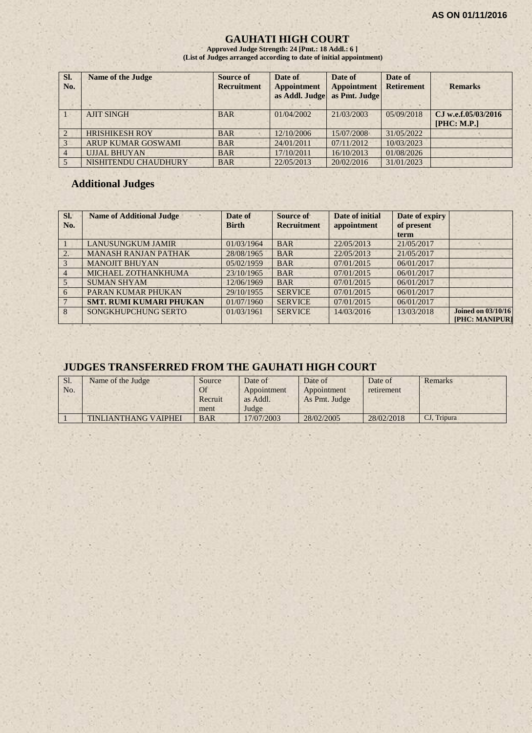#### **GAUHATI HIGH COURT**

**Approved Judge Strength: 24 [Pmt.: 18 Addl.: 6 ] (List of Judges arranged according to date of initial appointment)**

| SI.<br>No.     | <b>Name of the Judge</b>  | <b>Source of</b><br><b>Recruitment</b> | Date of<br><b>Appointment</b><br>as Addl. Judge | Date of<br><b>Appointment</b><br>as Pmt. Judge | Date of<br><b>Retirement</b> | <b>Remarks</b>      |
|----------------|---------------------------|----------------------------------------|-------------------------------------------------|------------------------------------------------|------------------------------|---------------------|
|                | <b>AJIT SINGH</b>         | <b>BAR</b>                             | 01/04/2002                                      | 21/03/2003                                     | 05/09/2018                   | CJ w.e.f.05/03/2016 |
|                |                           |                                        |                                                 |                                                |                              | [PHC: M.P.]         |
| $\mathcal{L}$  | <b>HRISHIKESH ROY</b>     | <b>BAR</b>                             | 12/10/2006                                      | 15/07/2008                                     | 31/05/2022                   |                     |
| 3              | <b>ARUP KUMAR GOSWAMI</b> | <b>BAR</b>                             | 24/01/2011                                      | 07/11/2012                                     | 10/03/2023                   |                     |
| $\overline{4}$ | <b>UJJAL BHUYAN</b>       | <b>BAR</b>                             | 17/10/2011                                      | 16/10/2013                                     | 01/08/2026                   |                     |
|                | NISHITENDU CHAUDHURY      | <b>BAR</b>                             | 22/05/2013                                      | 20/02/2016                                     | 31/01/2023                   |                     |

#### **Additional Judges**

| Sl.<br>No.     | <b>Name of Additional Judge</b> | Date of<br><b>Birth</b> | Source of<br><b>Recruitment</b> | Date of initial<br>appointment | Date of expiry<br>of present<br>term |                                             |
|----------------|---------------------------------|-------------------------|---------------------------------|--------------------------------|--------------------------------------|---------------------------------------------|
|                | <b>LANUSUNGKUM JAMIR</b>        | 01/03/1964              | <b>BAR</b>                      | 22/05/2013                     | 21/05/2017                           |                                             |
| 2.             | <b>MANASH RANJAN PATHAK</b>     | 28/08/1965              | <b>BAR</b>                      | 22/05/2013                     | 21/05/2017                           |                                             |
| 3              | <b>MANOJIT BHUYAN</b>           | 05/02/1959              | <b>BAR</b>                      | 07/01/2015                     | 06/01/2017                           |                                             |
| $\overline{4}$ | MICHAEL ZOTHANKHUMA             | 23/10/1965              | <b>BAR</b>                      | 07/01/2015                     | 06/01/2017                           |                                             |
| 5              | <b>SUMAN SHYAM</b>              | 12/06/1969              | <b>BAR</b>                      | 07/01/2015                     | 06/01/2017                           |                                             |
| 6              | PARAN KUMAR PHUKAN              | 29/10/1955              | <b>SERVICE</b>                  | 07/01/2015                     | 06/01/2017                           |                                             |
|                | <b>SMT. RUMI KUMARI PHUKAN</b>  | 01/07/1960              | <b>SERVICE</b>                  | 07/01/2015                     | 06/01/2017                           |                                             |
| $\overline{8}$ | SONGKHUPCHUNG SERTO             | 01/03/1961              | <b>SERVICE</b>                  | 14/03/2016                     | 13/03/2018                           | <b>Joined on 03/10/16</b><br>[PHC: MANIPUR] |

### **JUDGES TRANSFERRED FROM THE GAUHATI HIGH COURT**

| Sl.<br>No. | Name of the Judge    | Source<br>Of<br>Recruit<br>ment | Date of<br>Appointment<br>as Addl.<br>Judge | Date of<br>Appointment<br>As Pmt. Judge | Date of<br>retirement | Remarks     |
|------------|----------------------|---------------------------------|---------------------------------------------|-----------------------------------------|-----------------------|-------------|
|            | TINLIANTHANG VAIPHEI | <b>BAR</b>                      | 17/07/2003                                  | 28/02/2005                              | 28/02/2018            | CJ, Tripura |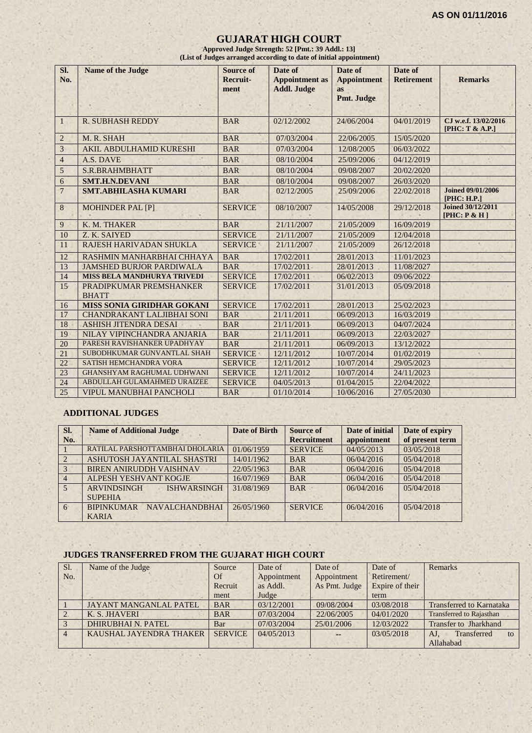#### **GUJARAT HIGH COURT**

**Approved Judge Strength: 52 [Pmt.: 39 Addl.: 13] (List of Judges arranged according to date of initial appointment)**

| SI.<br>No.      | <b>Name of the Judge</b>                | <b>Source of</b><br>Recruit-<br>ment | Date of<br><b>Appointment</b> as<br><b>Addl. Judge</b> | Date of<br><b>Appointment</b><br><b>as</b><br>Pmt. Judge | Date of<br><b>Retirement</b> | <b>Remarks</b>                           |
|-----------------|-----------------------------------------|--------------------------------------|--------------------------------------------------------|----------------------------------------------------------|------------------------------|------------------------------------------|
| $\mathbf{1}$    | <b>R. SUBHASH REDDY</b>                 | <b>BAR</b>                           | 02/12/2002                                             | 24/06/2004                                               | 04/01/2019                   | CJ w.e.f. 13/02/2016<br>[PHC: T & A.P.]  |
| $\sqrt{2}$      | M. R. SHAH                              | <b>BAR</b>                           | 07/03/2004                                             | 22/06/2005                                               | 15/05/2020                   |                                          |
| $\mathfrak{Z}$  | AKIL ABDULHAMID KURESHI                 | <b>BAR</b>                           | 07/03/2004                                             | 12/08/2005                                               | 06/03/2022                   |                                          |
| $\overline{4}$  | A.S. DAVE                               | <b>BAR</b>                           | 08/10/2004                                             | 25/09/2006                                               | 04/12/2019                   |                                          |
| $\sqrt{5}$      | <b>S.R.BRAHMBHATT</b>                   | <b>BAR</b>                           | 08/10/2004                                             | 09/08/2007                                               | 20/02/2020                   |                                          |
| 6               | <b>SMT.H.N.DEVANI</b>                   | <b>BAR</b>                           | 08/10/2004                                             | 09/08/2007                                               | 26/03/2020                   |                                          |
| $\overline{7}$  | <b>SMT.ABHILASHA KUMARI</b>             | <b>BAR</b>                           | 02/12/2005                                             | 25/09/2006                                               | 22/02/2018                   | <b>Joined 09/01/2006</b><br>[PHC: H.P.]  |
| 8               | <b>MOHINDER PAL [P]</b>                 | <b>SERVICE</b>                       | 08/10/2007                                             | 14/05/2008                                               | 29/12/2018                   | <b>Joined 30/12/2011</b><br>[PHC: P & H] |
| $\overline{9}$  | K. M. THAKER                            | <b>BAR</b>                           | 21/11/2007                                             | 21/05/2009                                               | 16/09/2019                   |                                          |
| 10              | Z. K. SAIYED                            | <b>SERVICE</b>                       | 21/11/2007                                             | 21/05/2009                                               | 12/04/2018                   |                                          |
| 11              | RAJESH HARIVADAN SHUKLA                 | <b>SERVICE</b>                       | 21/11/2007                                             | 21/05/2009                                               | 26/12/2018                   |                                          |
| 12              | RASHMIN MANHARBHAI CHHAYA               | <b>BAR</b>                           | 17/02/2011                                             | 28/01/2013                                               | 11/01/2023                   |                                          |
| 13              | <b>JAMSHED BURJOR PARDIWALA</b>         | <b>BAR</b>                           | 17/02/2011                                             | 28/01/2013                                               | 11/08/2027                   |                                          |
| 14              | <b>MISS BELA MANDHURYA TRIVEDI</b>      | <b>SERVICE</b>                       | 17/02/2011                                             | 06/02/2013                                               | 09/06/2022                   |                                          |
| 15 <sub>1</sub> | PRADIPKUMAR PREMSHANKER<br><b>BHATT</b> | <b>SERVICE</b>                       | 17/02/2011                                             | 31/01/2013                                               | 05/09/2018                   |                                          |
| 16              | MISS SONIA GIRIDHAR GOKANI              | <b>SERVICE</b>                       | 17/02/2011                                             | 28/01/2013                                               | 25/02/2023                   |                                          |
| 17              | <b>CHANDRAKANT LALJIBHAI SONI</b>       | <b>BAR</b>                           | 21/11/2011                                             | 06/09/2013                                               | 16/03/2019                   |                                          |
| 18              | <b>ASHISH JITENDRA DESAI</b>            | <b>BAR</b>                           | 21/11/2011                                             | 06/09/2013                                               | 04/07/2024                   |                                          |
| 19              | NILAY VIPINCHANDRA ANJARIA              | <b>BAR</b>                           | 21/11/2011                                             | 06/09/2013                                               | 22/03/2027                   |                                          |
| 20              | PARESH RAVISHANKER UPADHYAY             | <b>BAR</b>                           | 21/11/2011                                             | 06/09/2013                                               | 13/12/2022                   |                                          |
| 21              | SUBODHKUMAR GUNVANTLAL SHAH             | <b>SERVICE</b>                       | 12/11/2012                                             | 10/07/2014                                               | 01/02/2019                   |                                          |
| 22              | SATISH HEMCHANDRA VORA                  | <b>SERVICE</b>                       | 12/11/2012                                             | 10/07/2014                                               | 29/05/2023                   |                                          |
| 23              | <b>GHANSHYAM RAGHUMAL UDHWANI</b>       | <b>SERVICE</b>                       | 12/11/2012                                             | 10/07/2014                                               | 24/11/2023                   |                                          |
| 24              | ABDULLAH GULAMAHMED URAIZEE             | <b>SERVICE</b>                       | 04/05/2013                                             | 01/04/2015                                               | 22/04/2022                   |                                          |
| 25              | <b>VIPUL MANUBHAI PANCHOLI</b>          | <b>BAR</b>                           | 01/10/2014                                             | 10/06/2016                                               | 27/05/2030                   |                                          |

#### **ADDITIONAL JUDGES**

| SI.<br>No.     | <b>Name of Additional Judge</b>            | Date of Birth | Source of<br><b>Recruitment</b> | Date of initial<br>appointment | Date of expiry<br>of present term |
|----------------|--------------------------------------------|---------------|---------------------------------|--------------------------------|-----------------------------------|
|                | RATILAL PARSHOTTAMBHAI DHOLARIA            | 01/06/1959    | <b>SERVICE</b>                  | 04/05/2013                     | 03/05/2018                        |
| $\overline{2}$ | ASHUTOSH JAYANTILAL SHASTRI                | 14/01/1962    | <b>BAR</b>                      | 06/04/2016                     | 05/04/2018                        |
| $\overline{3}$ | <b>BIREN ANIRUDDH VAISHNAV</b>             | 22/05/1963    | <b>BAR</b>                      | 06/04/2016                     | 05/04/2018                        |
| $\overline{4}$ | ALPESH YESHVANT KOGJE                      | 16/07/1969    | <b>BAR</b>                      | 06/04/2016                     | 05/04/2018                        |
| 5 <sup>5</sup> | <b>ARVINDSINGH</b><br><b>ISHWARSINGH</b>   | 31/08/1969    | <b>BAR</b>                      | 06/04/2016                     | 05/04/2018                        |
|                | <b>SUPEHIA</b>                             |               |                                 |                                |                                   |
| 6 <sup>1</sup> | <b>BIPINKUMAR</b><br><b>NAVALCHANDBHAI</b> | 26/05/1960    | <b>SERVICE</b>                  | 06/04/2016                     | 05/04/2018                        |
|                | <b>KARIA</b>                               |               |                                 |                                |                                   |

#### **JUDGES TRANSFERRED FROM THE GUJARAT HIGH COURT**

| Sl. | Name of the Judge             | Source         | Date of     | Date of       | Date of         | <b>Remarks</b>                  |
|-----|-------------------------------|----------------|-------------|---------------|-----------------|---------------------------------|
| No. |                               | Of             | Appointment | Appointment   | Retirement/     |                                 |
|     |                               | Recruit        | as Addl.    | As Pmt. Judge | Expire of their |                                 |
|     |                               | ment           | Judge       |               | term            |                                 |
|     | <b>JAYANT MANGANLAL PATEL</b> | <b>BAR</b>     | 03/12/2001  | 09/08/2004    | 03/08/2018      | <b>Transferred to Karnataka</b> |
|     | K. S. JHAVERI                 | <b>BAR</b>     | 07/03/2004  | 22/06/2005    | 04/01/2020      | <b>Transferred to Rajasthan</b> |
|     | <b>DHIRUBHAI N. PATEL</b>     | Bar            | 07/03/2004  | 25/01/2006    | 12/03/2022      | <b>Transfer to Jharkhand</b>    |
|     | KAUSHAL JAYENDRA THAKER       | <b>SERVICE</b> | 04/05/2013  | --            | 03/05/2018      | Transferred<br>AJ<br>to         |
|     |                               |                |             |               |                 | Allahabad                       |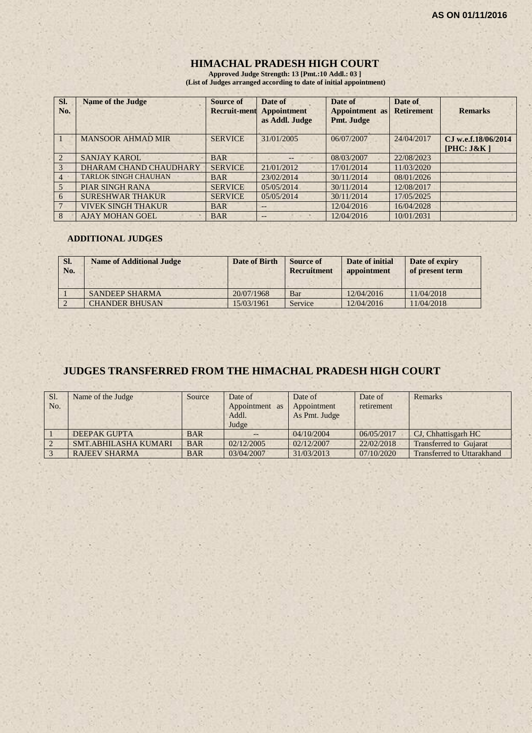# **HIMACHAL PRADESH HIGH COURT**

**Approved Judge Strength: 13 [Pmt.:10 Addl.: 03 ] (List of Judges arranged according to date of initial appointment)**

| SI.<br>No.     | <b>Name of the Judge</b>    | <b>Source of</b><br><b>Recruit-ment</b> | Date of<br><b>Appointment</b><br>as Addl. Judge | Date of<br>Appointment as<br>Pmt. Judge | Date of<br><b>Retirement</b> | <b>Remarks</b>                    |
|----------------|-----------------------------|-----------------------------------------|-------------------------------------------------|-----------------------------------------|------------------------------|-----------------------------------|
|                | <b>MANSOOR AHMAD MIR</b>    | <b>SERVICE</b>                          | 31/01/2005                                      | 06/07/2007                              | 24/04/2017                   | CJ w.e.f.18/06/2014<br>[PHC: J&K] |
| $\overline{2}$ | <b>SANJAY KAROL</b>         | <b>BAR</b>                              | $- -$                                           | 08/03/2007                              | 22/08/2023                   |                                   |
| 3              | DHARAM CHAND CHAUDHARY      | <b>SERVICE</b>                          | 21/01/2012                                      | 17/01/2014                              | 11/03/2020                   |                                   |
| $\overline{4}$ | <b>TARLOK SINGH CHAUHAN</b> | <b>BAR</b>                              | 23/02/2014                                      | 30/11/2014                              | 08/01/2026                   |                                   |
| 5              | <b>PIAR SINGH RANA</b>      | <b>SERVICE</b>                          | 05/05/2014                                      | 30/11/2014                              | 12/08/2017                   |                                   |
| 6              | <b>SURESHWAR THAKUR</b>     | <b>SERVICE</b>                          | 05/05/2014                                      | 30/11/2014                              | 17/05/2025                   |                                   |
|                | <b>VIVEK SINGH THAKUR</b>   | <b>BAR</b>                              | $- -$                                           | 12/04/2016                              | 16/04/2028                   |                                   |
| 8              | <b>AJAY MOHAN GOEL</b>      | <b>BAR</b>                              |                                                 | 12/04/2016                              | 10/01/2031                   |                                   |

#### **ADDITIONAL JUDGES**

| SI.<br>No. | <b>Name of Additional Judge</b> | Date of Birth | <b>Source of</b><br><b>Recruitment</b> | Date of initial<br>appointment | Date of expiry<br>of present term |
|------------|---------------------------------|---------------|----------------------------------------|--------------------------------|-----------------------------------|
|            | <b>SANDEEP SHARMA</b>           | 20/07/1968    | Bar                                    | 12/04/2016                     | 11/04/2018                        |
|            | <b>CHANDER BHUSAN</b>           | 15/03/1961    | Service                                | 12/04/2016                     | 1/04/2018                         |

# **JUDGES TRANSFERRED FROM THE HIMACHAL PRADESH HIGH COURT**

| Sl.<br>No. | Name of the Judge    | Source     | Date of<br>Appointment as<br>Addl.<br>Judge | Date of<br>Appointment<br>As Pmt. Judge | Date of<br>retirement | Remarks                           |
|------------|----------------------|------------|---------------------------------------------|-----------------------------------------|-----------------------|-----------------------------------|
|            | <b>DEEPAK GUPTA</b>  | <b>BAR</b> |                                             | 04/10/2004                              | 06/05/2017            | CJ, Chhattisgarh HC               |
|            | SMT.ABHILASHA KUMARI | <b>BAR</b> | 02/12/2005                                  | 02/12/2007                              | 22/02/2018            | <b>Transferred to Gujarat</b>     |
|            | <b>RAJEEV SHARMA</b> | <b>BAR</b> | 03/04/2007                                  | 31/03/2013                              | 07/10/2020            | <b>Transferred to Uttarakhand</b> |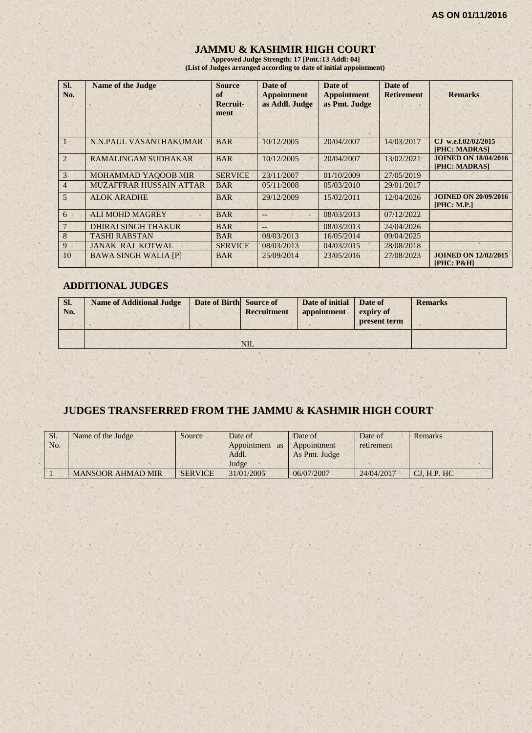# **JAMMU & KASHMIR HIGH COURT**

**Approved Judge Strength: 17 [Pmt.:13 Addl: 04] (List of Judges arranged according to date of initial appointment)**

| SI.<br>No.     | <b>Name of the Judge</b>    | <b>Source</b><br>of<br>Recruit-<br>ment | Date of<br><b>Appointment</b><br>as Addl. Judge | Date of<br><b>Appointment</b><br>as Pmt. Judge | Date of<br><b>Retirement</b> | <b>Remarks</b>                               |
|----------------|-----------------------------|-----------------------------------------|-------------------------------------------------|------------------------------------------------|------------------------------|----------------------------------------------|
|                | N.N.PAUL VASANTHAKUMAR      | <b>BAR</b>                              | 10/12/2005                                      | 20/04/2007                                     | 14/03/2017                   | CJ w.e.f.02/02/2015<br>[PHC: MADRAS]         |
| $\overline{2}$ | RAMALINGAM SUDHAKAR         | <b>BAR</b>                              | 10/12/2005                                      | 20/04/2007                                     | 13/02/2021                   | <b>JOINED ON 18/04/2016</b><br>[PHC: MADRAS] |
| 3 <sup>1</sup> | <b>MOHAMMAD YAQOOB MIR</b>  | <b>SERVICE</b>                          | 23/11/2007                                      | 01/10/2009                                     | 27/05/2019                   |                                              |
| $\overline{4}$ | MUZAFFRAR HUSSAIN ATTAR     | <b>BAR</b>                              | 0.5/11/2008                                     | 05/03/2010                                     | 29/01/2017                   |                                              |
| 5              | <b>ALOK ARADHE</b>          | <b>BAR</b>                              | 29/12/2009                                      | 15/02/2011                                     | 12/04/2026                   | <b>JOINED ON 20/09/2016</b><br>[PHC: M.P.]   |
| 6              | <b>ALI MOHD MAGREY</b>      | <b>BAR</b>                              |                                                 | 08/03/2013                                     | 07/12/2022                   |                                              |
| 7              | <b>DHIRAJ SINGH THAKUR</b>  | <b>BAR</b>                              |                                                 | 08/03/2013                                     | 24/04/2026                   |                                              |
| 8              | <b>TASHI RABSTAN</b>        | <b>BAR</b>                              | 08/03/2013                                      | 16/05/2014                                     | 09/04/2025                   |                                              |
| 9              | <b>JANAK RAJ KOTWAL</b>     | <b>SERVICE</b>                          | 08/03/2013                                      | 04/03/2015                                     | 28/08/2018                   |                                              |
| 10             | <b>BAWA SINGH WALIA [P]</b> | <b>BAR</b>                              | 25/09/2014                                      | 23/05/2016                                     | 27/08/2023                   | <b>JOINED ON 12/02/2015</b><br>$[PHC: P\&H]$ |

#### **ADDITIONAL JUDGES**

| SI.<br>No. | <b>Name of Additional Judge</b> | Date of Birth Source of | Recruitment | Date of initial<br>appointment | Date of<br>expiry of<br>present term | <b>Remarks</b> |
|------------|---------------------------------|-------------------------|-------------|--------------------------------|--------------------------------------|----------------|
|            |                                 |                         | <b>NIL</b>  |                                |                                      |                |

# **JUDGES TRANSFERRED FROM THE JAMMU & KASHMIR HIGH COURT**

| Sl.<br>No. | Name of the Judge        | Source         | Date of<br>Appointment<br>as<br>Addl.<br>Judge | Date of<br>Appointment<br>As Pmt. Judge | Date of<br>retirement | Remarks     |
|------------|--------------------------|----------------|------------------------------------------------|-----------------------------------------|-----------------------|-------------|
|            | <b>MANSOOR AHMAD MIR</b> | <b>SERVICE</b> | 31/01/2005                                     | 06/07/2007                              | 24/04/2017            | CJ, H.P. HC |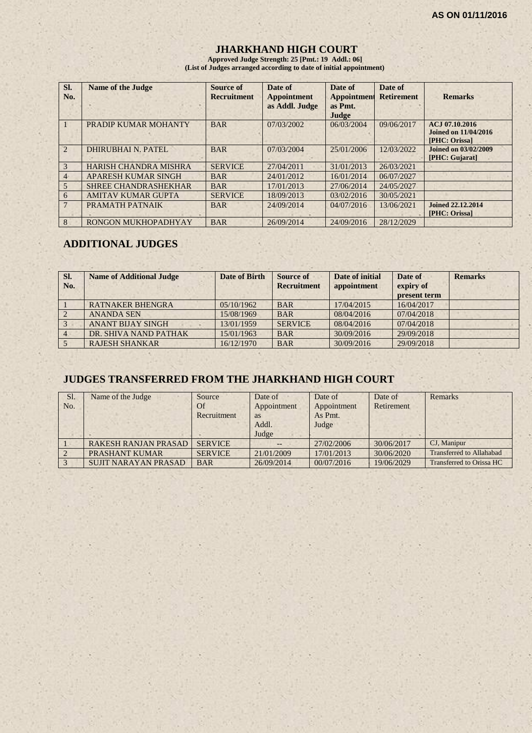#### **JHARKHAND HIGH COURT**

**Approved Judge Strength: 25 [Pmt.: 19 Addl.: 06] (List of Judges arranged according to date of initial appointment)**

| SI.<br>No.     | <b>Name of the Judge</b>     | Source of<br><b>Recruitment</b> | Date of<br><b>Appointment</b><br>as Addl. Judge | Date of<br><b>Appointment</b><br>as Pmt.<br>Judge | Date of<br><b>Retirement</b> | <b>Remarks</b>                                          |
|----------------|------------------------------|---------------------------------|-------------------------------------------------|---------------------------------------------------|------------------------------|---------------------------------------------------------|
|                | PRADIP KUMAR MOHANTY         | <b>BAR</b>                      | 07/03/2002                                      | 06/03/2004                                        | 09/06/2017                   | ACJ 07.10.2016<br>Joined on 11/04/2016<br>[PHC: Orissa] |
| $\overline{2}$ | <b>DHIRUBHAI N. PATEL</b>    | <b>BAR</b>                      | 07/03/2004                                      | 25/01/2006                                        | 12/03/2022                   | <b>Joined on 03/02/2009</b><br>[PHC: Gujarat]           |
| 3              | <b>HARISH CHANDRA MISHRA</b> | <b>SERVICE</b>                  | 27/04/2011                                      | 31/01/2013                                        | 26/03/2021                   |                                                         |
| 4              | <b>APARESH KUMAR SINGH</b>   | <b>BAR</b>                      | 24/01/2012                                      | 16/01/2014                                        | 06/07/2027                   |                                                         |
| 5              | <b>SHREE CHANDRASHEKHAR</b>  | <b>BAR</b>                      | 17/01/2013                                      | 27/06/2014                                        | 24/05/2027                   |                                                         |
| 6              | <b>AMITAV KUMAR GUPTA</b>    | <b>SERVICE</b>                  | 18/09/2013                                      | 03/02/2016                                        | 30/05/2021                   |                                                         |
|                | PRAMATH PATNAIK              | <b>BAR</b>                      | 24/09/2014                                      | 04/07/2016                                        | 13/06/2021                   | Joined 22,12,2014<br>[PHC: Orissa]                      |
| 8              | RONGON MUKHOPADHYAY          | <b>BAR</b>                      | 26/09/2014                                      | 24/09/2016                                        | 28/12/2029                   |                                                         |

# **ADDITIONAL JUDGES**

| SI.<br>No. | <b>Name of Additional Judge</b> | Date of Birth | Source of<br><b>Recruitment</b> | Date of initial<br>appointment | Date of<br>expiry of<br>present term | <b>Remarks</b> |
|------------|---------------------------------|---------------|---------------------------------|--------------------------------|--------------------------------------|----------------|
|            | <b>RATNAKER BHENGRA</b>         | 05/10/1962    | <b>BAR</b>                      | 17/04/2015                     | 16/04/2017                           |                |
|            | <b>ANANDA SEN</b>               | 15/08/1969    | <b>BAR</b>                      | 08/04/2016                     | 07/04/2018                           |                |
|            | <b>ANANT BIJAY SINGH</b>        | 13/01/1959    | <b>SERVICE</b>                  | 08/04/2016                     | 07/04/2018                           |                |
|            | DR. SHIVA NAND PATHAK           | 15/01/1963    | <b>BAR</b>                      | 30/09/2016                     | 29/09/2018                           |                |
|            | <b>RAJESH SHANKAR</b>           | 16/12/1970    | <b>BAR</b>                      | 30/09/2016                     | 29/09/2018                           |                |

# **JUDGES TRANSFERRED FROM THE JHARKHAND HIGH COURT**

| Sl. | Name of the Judge           | Source         | Date of     | Date of     | Date of    | <b>Remarks</b>                  |
|-----|-----------------------------|----------------|-------------|-------------|------------|---------------------------------|
| No. |                             | Of             | Appointment | Appointment | Retirement |                                 |
|     |                             | Recruitment    | <b>as</b>   | As Pmt.     |            |                                 |
|     |                             |                | Addl.       | Judge       |            |                                 |
|     |                             |                | Judge       |             |            |                                 |
|     | <b>RAKESH RANJAN PRASAD</b> | <b>SERVICE</b> |             | 27/02/2006  | 30/06/2017 | CJ, Manipur                     |
|     | PRASHANT KUMAR              | <b>SERVICE</b> | 21/01/2009  | 17/01/2013  | 30/06/2020 | <b>Transferred to Allahabad</b> |
|     | <b>SUJIT NARAYAN PRASAD</b> | <b>BAR</b>     | 26/09/2014  | 00/07/2016  | 19/06/2029 | Transferred to Orissa HC        |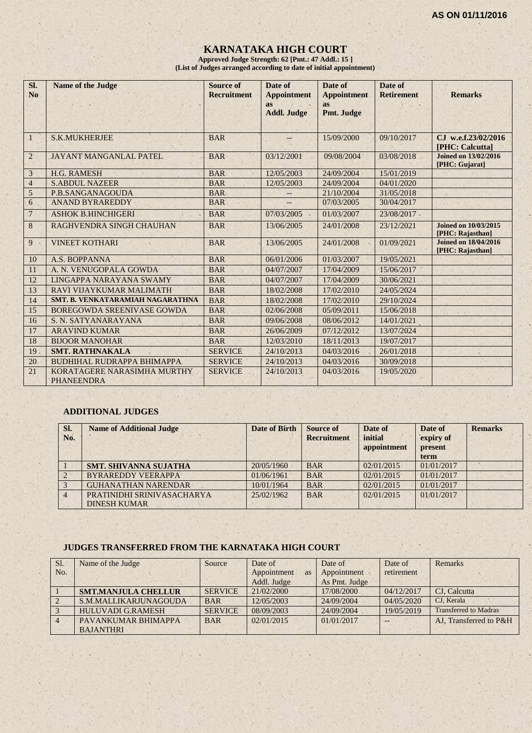# **KARNATAKA HIGH COURT**

**Approved Judge Strength: 62 [Pmt.: 47 Addl.: 15 ] (List of Judges arranged according to date of initial appointment)**

| Sl.<br>N <sub>0</sub> | <b>Name of the Judge</b>                         | <b>Source of</b><br><b>Recruitment</b> | Date of<br><b>Appointment</b><br><b>as</b><br><b>Addl. Judge</b> | Date of<br><b>Appointment</b><br><b>as</b><br>Pmt. Judge | Date of<br><b>Retirement</b> | <b>Remarks</b>                                  |
|-----------------------|--------------------------------------------------|----------------------------------------|------------------------------------------------------------------|----------------------------------------------------------|------------------------------|-------------------------------------------------|
| $\mathbf{1}$          | <b>S.K.MUKHERJEE</b>                             | <b>BAR</b>                             | $---$                                                            | 15/09/2000                                               | 09/10/2017                   | CJ w.e.f.23/02/2016<br><b>[PHC: Calcutta]</b>   |
| $\overline{2}$        | <b>JAYANT MANGANLAL PATEL</b>                    | <b>BAR</b>                             | 03/12/2001                                                       | 09/08/2004                                               | 03/08/2018                   | <b>Joined on 13/02/2016</b><br>[PHC: Gujarat]   |
| $\mathfrak{Z}$        | <b>H.G. RAMESH</b>                               | <b>BAR</b>                             | 12/05/2003                                                       | 24/09/2004                                               | 15/01/2019                   |                                                 |
| $\overline{4}$        | <b>S.ABDUL NAZEER</b>                            | <b>BAR</b>                             | 12/05/2003                                                       | 24/09/2004                                               | 04/01/2020                   |                                                 |
| $\sqrt{5}$            | P.B.SANGANAGOUDA                                 | <b>BAR</b>                             |                                                                  | 21/10/2004                                               | 31/05/2018                   |                                                 |
| 6                     | <b>ANAND BYRAREDDY</b>                           | <b>BAR</b>                             |                                                                  | 07/03/2005                                               | 30/04/2017                   |                                                 |
| $\overline{7}$        | <b>ASHOK B.HINCHIGERI</b>                        | <b>BAR</b>                             | 07/03/2005                                                       | 01/03/2007                                               | 23/08/2017                   |                                                 |
| 8                     | RAGHVENDRA SINGH CHAUHAN                         | <b>BAR</b>                             | 13/06/2005                                                       | 24/01/2008                                               | 23/12/2021                   | <b>Joined on 10/03/2015</b><br>[PHC: Rajasthan] |
| 9                     | <b>VINEET KOTHARI</b>                            | <b>BAR</b>                             | 13/06/2005                                                       | 24/01/2008                                               | 01/09/2021                   | <b>Joined on 18/04/2016</b><br>[PHC: Rajasthan] |
| 10                    | A.S. BOPPANNA                                    | <b>BAR</b>                             | 06/01/2006                                                       | 01/03/2007                                               | 19/05/2021                   |                                                 |
| 11                    | A. N. VENUGOPALA GOWDA                           | <b>BAR</b>                             | 04/07/2007                                                       | 17/04/2009                                               | 15/06/2017                   |                                                 |
| 12                    | LINGAPPA NARAYANA SWAMY                          | <b>BAR</b>                             | 04/07/2007                                                       | 17/04/2009                                               | 30/06/2021                   |                                                 |
| 13                    | RAVI VIJAYKUMAR MALIMATH                         | <b>BAR</b>                             | 18/02/2008                                                       | 17/02/2010                                               | 24/05/2024                   |                                                 |
| 14                    | <b>SMT. B. VENKATARAMIAH NAGARATHNA</b>          | <b>BAR</b>                             | 18/02/2008                                                       | 17/02/2010                                               | 29/10/2024                   |                                                 |
| 15                    | <b>BOREGOWDA SREENIVASE GOWDA</b>                | <b>BAR</b>                             | 02/06/2008                                                       | 05/09/2011                                               | 15/06/2018                   |                                                 |
| 16                    | S. N. SATYANARAYANA                              | <b>BAR</b>                             | 09/06/2008                                                       | 08/06/2012                                               | 14/01/2021                   |                                                 |
| 17                    | <b>ARAVIND KUMAR</b>                             | <b>BAR</b>                             | 26/06/2009                                                       | 07/12/2012                                               | 13/07/2024                   |                                                 |
| 18                    | <b>BIJOOR MANOHAR</b>                            | <b>BAR</b>                             | 12/03/2010                                                       | 18/11/2013                                               | 19/07/2017                   |                                                 |
| 19                    | <b>SMT. RATHNAKALA</b>                           | <b>SERVICE</b>                         | 24/10/2013                                                       | 04/03/2016                                               | 26/01/2018                   |                                                 |
| 20                    | <b>BUDHIHAL RUDRAPPA BHIMAPPA</b>                | <b>SERVICE</b>                         | 24/10/2013                                                       | 04/03/2016                                               | 30/09/2018                   |                                                 |
| 21                    | KORATAGERE NARASIMHA MURTHY<br><b>PHANEENDRA</b> | <b>SERVICE</b>                         | 24/10/2013                                                       | 04/03/2016                                               | 19/05/2020                   |                                                 |

#### **ADDITIONAL JUDGES**

| SI.<br>No. | <b>Name of Additional Judge</b>                   | <b>Date of Birth</b> | <b>Source of</b><br><b>Recruitment</b> | Date of<br>initial<br>appointment | Date of<br>expiry of<br>present<br>term | <b>Remarks</b> |
|------------|---------------------------------------------------|----------------------|----------------------------------------|-----------------------------------|-----------------------------------------|----------------|
|            | <b>SMT. SHIVANNA SUJATHA</b>                      | 20/05/1960           | <b>BAR</b>                             | 02/01/2015                        | 01/01/2017                              |                |
|            | <b>BYRAREDDY VEERAPPA</b>                         | 01/06/1961           | <b>BAR</b>                             | 02/01/2015                        | 01/01/2017                              |                |
|            | <b>GUHANATHAN NARENDAR</b>                        | 10/01/1964           | <b>BAR</b>                             | 02/01/2015                        | 01/01/2017                              |                |
|            | PRATINIDHI SRINIVASACHARYA<br><b>DINESH KUMAR</b> | 25/02/1962           | <b>BAR</b>                             | 02/01/2015                        | 01/01/2017                              |                |

#### **JUDGES TRANSFERRED FROM THE KARNATAKA HIGH COURT**

| Sl. | Name of the Judge          | Source         | Date of                  | Date of       | Date of    | Remarks                      |
|-----|----------------------------|----------------|--------------------------|---------------|------------|------------------------------|
| No. |                            |                | Appointment<br><b>as</b> | Appointment   | retirement |                              |
|     |                            |                | Addl. Judge              | As Pmt. Judge |            |                              |
|     | <b>SMT.MANJULA CHELLUR</b> | <b>SERVICE</b> | 21/02/2000               | 17/08/2000    | 04/12/2017 | CJ. Calcutta                 |
|     | S.M.MALLIKARJUNAGOUDA      | <b>BAR</b>     | 12/05/2003               | 24/09/2004    | 04/05/2020 | CJ. Kerala                   |
|     | <b>HULUVADI G.RAMESH</b>   | <b>SERVICE</b> | 08/09/2003               | 24/09/2004    | 19/05/2019 | <b>Transferred to Madras</b> |
|     | PAVANKUMAR BHIMAPPA        | <b>BAR</b>     | 02/01/2015               | 01/01/2017    |            | AJ. Transferred to P&H       |
|     | <b>BAJANTHRI</b>           |                |                          |               |            |                              |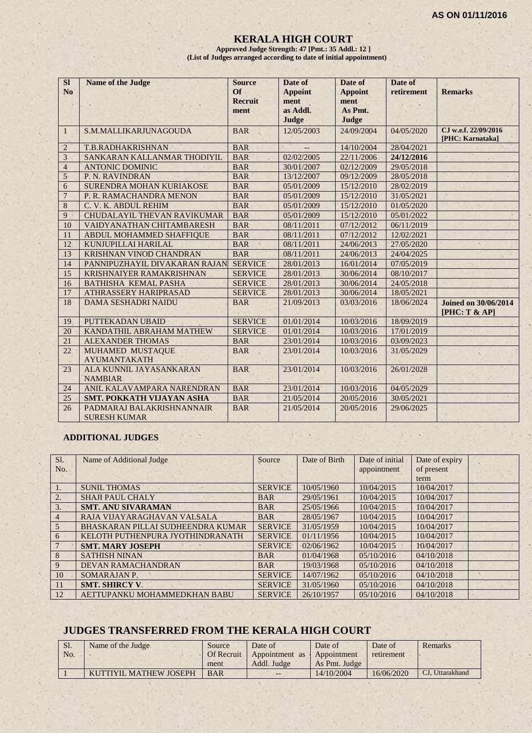#### **KERALA HIGH COURT**

**Approved Judge Strength: 47 [Pmt.: 35 Addl.: 12 ] (List of Judges arranged according to date of initial appointment)**

| <b>SI</b><br>No | <b>Name of the Judge</b>                         | <b>Source</b><br>$\Omega$<br><b>Recruit</b><br>ment | Date of<br><b>Appoint</b><br>ment<br>as Addl.<br>Judge | Date of<br><b>Appoint</b><br>ment<br>As Pmt.<br>Judge | Date of<br>retirement | <b>Remarks</b>                               |
|-----------------|--------------------------------------------------|-----------------------------------------------------|--------------------------------------------------------|-------------------------------------------------------|-----------------------|----------------------------------------------|
| 1               | S.M.MALLIKARJUNAGOUDA                            | <b>BAR</b>                                          | 12/05/2003                                             | 24/09/2004                                            | 04/05/2020            | CJ w.e.f. 22/09/2016<br>[PHC: Karnataka]     |
| $\overline{2}$  | T.B.RADHAKRISHNAN                                | <b>BAR</b>                                          |                                                        | 14/10/2004                                            | 28/04/2021            |                                              |
| 3               | SANKARAN KALLANMAR THODIYIL                      | <b>BAR</b>                                          | 02/02/2005                                             | 22/11/2006                                            | 24/12/2016            |                                              |
| $\overline{4}$  | <b>ANTONIC DOMINIC</b>                           | <b>BAR</b>                                          | 30/01/2007                                             | 02/12/2009                                            | 29/05/2018            |                                              |
| 5               | P. N. RAVINDRAN                                  | <b>BAR</b>                                          | 13/12/2007                                             | 09/12/2009                                            | 28/05/2018            |                                              |
| 6               | SURENDRA MOHAN KURIAKOSE                         | <b>BAR</b>                                          | 05/01/2009                                             | 15/12/2010                                            | 28/02/2019            |                                              |
| $\overline{7}$  | P. R. RAMACHANDRA MENON                          | <b>BAR</b>                                          | 05/01/2009                                             | 15/12/2010                                            | 31/05/2021            |                                              |
| 8               | C. V. K. ABDUL REHIM                             | <b>BAR</b>                                          | 05/01/2009                                             | 15/12/2010                                            | 01/05/2020            |                                              |
| 9               | <b>CHUDALAYIL THEVAN RAVIKUMAR</b>               | <b>BAR</b>                                          | 05/01/2009                                             | 15/12/2010                                            | 05/01/2022            |                                              |
| 10              | VAIDYANATHAN CHITAMBARESH                        | <b>BAR</b>                                          | 08/11/2011                                             | 07/12/2012                                            | 06/11/2019            |                                              |
| 11              | ABDUL MOHAMMED SHAFFIQUE                         | <b>BAR</b>                                          | 08/11/2011                                             | 07/12/2012                                            | 12/02/2021            |                                              |
| 12              | KUNJUPILLAI HARILAL                              | <b>BAR</b>                                          | 08/11/2011                                             | 24/06/2013                                            | 27/05/2020            | a.                                           |
| 13              | <b>KRISHNAN VINOD CHANDRAN</b>                   | <b>BAR</b>                                          | 08/11/2011                                             | 24/06/2013                                            | 24/04/2025            |                                              |
| 14              | PANNIPUZHAYIL DIVAKARAN RAJAN                    | <b>SERVICE</b>                                      | 28/01/2013                                             | 16/01/2014                                            | 07/05/2019            |                                              |
| 15              | <b>KRISHNAIYER RAMAKRISHNAN</b>                  | <b>SERVICE</b>                                      | 28/01/2013                                             | 30/06/2014                                            | 08/10/2017            |                                              |
| 16              | <b>BATHISHA KEMAL PASHA</b>                      | <b>SERVICE</b>                                      | 28/01/2013                                             | 30/06/2014                                            | 24/05/2018            |                                              |
| 17              | <b>ATHRASSERY HARIPRASAD</b>                     | <b>SERVICE</b>                                      | 28/01/2013                                             | 30/06/2014                                            | 18/05/2021            |                                              |
| 18              | <b>DAMA SESHADRI NAIDU</b>                       | <b>BAR</b>                                          | 21/09/2013                                             | 03/03/2016                                            | 18/06/2024            | <b>Joined on 30/06/2014</b><br>[PHC: T & AP] |
| 19              | PUTTEKADAN UBAID                                 | <b>SERVICE</b>                                      | 01/01/2014                                             | 10/03/2016                                            | 18/09/2019            |                                              |
| 20              | KANDATHIL ABRAHAM MATHEW                         | <b>SERVICE</b>                                      | 01/01/2014                                             | 10/03/2016                                            | 17/01/2019            |                                              |
| 21              | <b>ALEXANDER THOMAS</b>                          | <b>BAR</b>                                          | 23/01/2014                                             | 10/03/2016                                            | 03/09/2023            |                                              |
| 22              | MUHAMED MUSTAQUE<br><b>AYUMANTAKATH</b>          | <b>BAR</b>                                          | 23/01/2014                                             | 10/03/2016                                            | 31/05/2029            |                                              |
| 23              | ALA KUNNIL JAYASANKARAN<br><b>NAMBIAR</b>        | <b>BAR</b>                                          | 23/01/2014                                             | 10/03/2016                                            | 26/01/2028            |                                              |
| 24              | ANIL KALAVAMPARA NARENDRAN                       | <b>BAR</b>                                          | 23/01/2014                                             | 10/03/2016                                            | 04/05/2029            |                                              |
| 25              | <b>SMT. POKKATH VIJAYAN ASHA</b>                 | <b>BAR</b>                                          | 21/05/2014                                             | 20/05/2016                                            | 30/05/2021            |                                              |
| 26              | PADMARAJ BALAKRISHNANNAIR<br><b>SURESH KUMAR</b> | <b>BAR</b>                                          | 21/05/2014                                             | 20/05/2016                                            | 29/06/2025            |                                              |

#### **ADDITIONAL JUDGES**

| Sl.            | Name of Additional Judge          | Source         | Date of Birth | Date of initial | Date of expiry |  |
|----------------|-----------------------------------|----------------|---------------|-----------------|----------------|--|
| No.            |                                   |                |               | appointment     | of present     |  |
|                |                                   |                |               |                 | term           |  |
| 1.             | <b>SUNIL THOMAS</b>               | <b>SERVICE</b> | 10/05/1960    | 10/04/2015      | 10/04/2017     |  |
| 2.             | <b>SHAJI PAUL CHALY</b>           | <b>BAR</b>     | 29/05/1961    | 10/04/2015      | 10/04/2017     |  |
| 3.             | <b>SMT. ANU SIVARAMAN</b>         | <b>BAR</b>     | 25/05/1966    | 10/04/2015      | 10/04/2017     |  |
| $\overline{4}$ | RAJA VIJAYARAGHAVAN VALSALA       | <b>BAR</b>     | 28/05/1967    | 10/04/2015      | 10/04/2017     |  |
| 5              | BHASKARAN PILLAI SUDHEENDRA KUMAR | <b>SERVICE</b> | 31/05/1959    | 10/04/2015      | 10/04/2017     |  |
| 6              | KELOTH PUTHENPURA JYOTHINDRANATH  | <b>SERVICE</b> | 01/11/1956    | 10/04/2015      | 10/04/2017     |  |
|                | <b>SMT. MARY JOSEPH</b>           | <b>SERVICE</b> | 02/06/1962    | 10/04/2015      | 10/04/2017     |  |
| 8              | <b>SATHISH NINAN</b>              | <b>BAR</b>     | 01/04/1968    | 05/10/2016      | 04/10/2018     |  |
| 9              | <b>DEVAN RAMACHANDRAN</b>         | <b>BAR</b>     | 19/03/1968    | 05/10/2016      | 04/10/2018     |  |
| 10             | SOMARAJAN P.                      | <b>SERVICE</b> | 14/07/1962    | 05/10/2016      | 04/10/2018     |  |
| 11             | <b>SMT. SHIRCY V.</b>             | <b>SERVICE</b> | 31/05/1960    | 05/10/2016      | 04/10/2018     |  |
| 12             | AETTUPANKU MOHAMMEDKHAN BABU      | <b>SERVICE</b> | 26/10/1957    | 05/10/2016      | 04/10/2018     |  |

#### **JUDGES TRANSFERRED FROM THE KERALA HIGH COURT**

| <b>SI.</b> | Name of the Judge      | Source            | Date of        | Date of       | Date of    | <b>Remarks</b>  |
|------------|------------------------|-------------------|----------------|---------------|------------|-----------------|
| No.        |                        | <b>Of Recruit</b> | Appointment as | Appointment   | retirement |                 |
|            |                        | ment              | Addl. Judge    | As Pmt. Judge |            |                 |
|            | KUTTIYIL MATHEW JOSEPH | <b>BAR</b>        | $- -$          | 14/10/2004    | 16/06/2020 | CJ, Uttarakhand |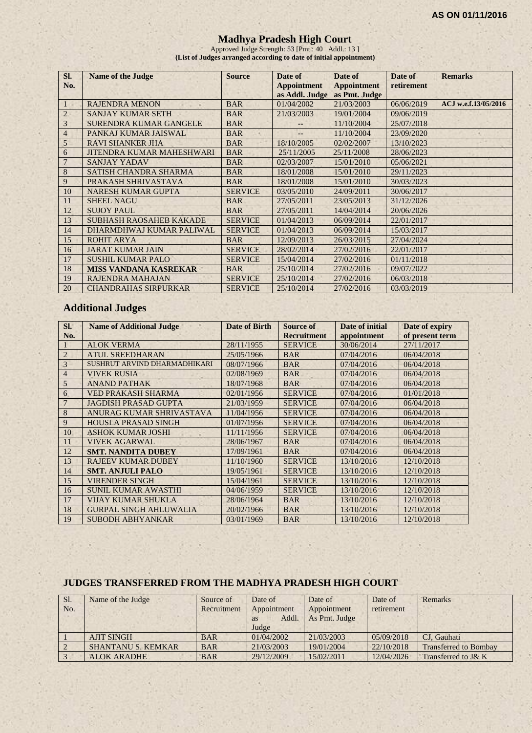#### **Madhya Pradesh High Court**

Approved Judge Strength: 53 [Pmt.: 40 Addl.: 13 ] **(List of Judges arranged according to date of initial appointment)**

| SI.<br>No.     | <b>Name of the Judge</b>         | <b>Source</b>  | Date of<br><b>Appointment</b> | Date of<br><b>Appointment</b><br>as Addl. Judge as Pmt. Judge | Date of<br>retirement | <b>Remarks</b>       |
|----------------|----------------------------------|----------------|-------------------------------|---------------------------------------------------------------|-----------------------|----------------------|
|                | <b>RAJENDRA MENON</b>            | <b>BAR</b>     | 01/04/2002                    | 21/03/2003                                                    | 06/06/2019            | ACJ w.e.f.13/05/2016 |
| $\overline{2}$ | <b>SANJAY KUMAR SETH</b>         | <b>BAR</b>     | 21/03/2003                    | 19/01/2004                                                    | 09/06/2019            |                      |
| 3              | <b>SURENDRA KUMAR GANGELE</b>    | <b>BAR</b>     |                               | 11/10/2004                                                    | 25/07/2018            |                      |
| $\overline{4}$ | PANKAJ KUMAR JAISWAL             | <b>BAR</b>     |                               | 11/10/2004                                                    | 23/09/2020            |                      |
| 5              | <b>RAVI SHANKER JHA</b>          | <b>BAR</b>     | 18/10/2005                    | 02/02/2007                                                    | 13/10/2023            |                      |
| 6              | <b>JITENDRA KUMAR MAHESHWARI</b> | <b>BAR</b>     | 25/11/2005                    | 25/11/2008                                                    | 28/06/2023            |                      |
| 7              | <b>SANJAY YADAV</b>              | <b>BAR</b>     | 02/03/2007                    | 15/01/2010                                                    | 05/06/2021            |                      |
| 8              | SATISH CHANDRA SHARMA            | <b>BAR</b>     | 18/01/2008                    | 15/01/2010                                                    | 29/11/2023            |                      |
| 9              | PRAKASH SHRIVASTAVA              | <b>BAR</b>     | 18/01/2008                    | 15/01/2010                                                    | 30/03/2023            |                      |
| 10             | <b>NARESH KUMAR GUPTA</b>        | <b>SERVICE</b> | 03/05/2010                    | 24/09/2011                                                    | 30/06/2017            |                      |
| 11             | <b>SHEEL NAGU</b>                | <b>BAR</b>     | 27/05/2011                    | 23/05/2013                                                    | 31/12/2026            |                      |
| 12             | <b>SUJOY PAUL</b>                | <b>BAR</b>     | 27/05/2011                    | 14/04/2014                                                    | 20/06/2026            |                      |
| 13             | <b>SUBHASH RAOSAHEB KAKADE</b>   | <b>SERVICE</b> | 01/04/2013                    | 06/09/2014                                                    | 22/01/2017            |                      |
| 14             | DHARMDHWAJ KUMAR PALIWAL         | <b>SERVICE</b> | 01/04/2013                    | 06/09/2014                                                    | 15/03/2017            |                      |
| 15             | ROHIT ARYA                       | <b>BAR</b>     | 12/09/2013                    | 26/03/2015                                                    | 27/04/2024            |                      |
| 16             | <b>JARAT KUMAR JAIN</b>          | <b>SERVICE</b> | 28/02/2014                    | 27/02/2016                                                    | 22/01/2017            |                      |
| 17             | <b>SUSHIL KUMAR PALO</b>         | <b>SERVICE</b> | 15/04/2014                    | 27/02/2016                                                    | 01/11/2018            |                      |
| 18             | <b>MISS VANDANA KASREKAR</b>     | <b>BAR</b>     | 25/10/2014                    | 27/02/2016                                                    | 09/07/2022            |                      |
| 19             | <b>RAJENDRA MAHAJAN</b>          | <b>SERVICE</b> | 25/10/2014                    | 27/02/2016                                                    | 06/03/2018            |                      |
| 20             | <b>CHANDRAHAS SIRPURKAR</b>      | <b>SERVICE</b> | 25/10/2014                    | 27/02/2016                                                    | 03/03/2019            |                      |

# **Additional Judges**

| SI.            | <b>Name of Additional Judge</b> | <b>Date of Birth</b> | <b>Source of</b>   | Date of initial | Date of expiry  |
|----------------|---------------------------------|----------------------|--------------------|-----------------|-----------------|
| No.            |                                 |                      | <b>Recruitment</b> | appointment     | of present term |
|                | <b>ALOK VERMA</b>               | 28/11/1955           | <b>SERVICE</b>     | 30/06/2014      | 27/11/2017      |
| $\overline{2}$ | <b>ATUL SREEDHARAN</b>          | 25/05/1966           | <b>BAR</b>         | 07/04/2016      | 06/04/2018      |
| 3              | SUSHRUT ARVIND DHARMADHIKARI    | 08/07/1966           | <b>BAR</b>         | 07/04/2016      | 06/04/2018      |
| $\overline{4}$ | <b>VIVEK RUSIA</b>              | 02/08/1969           | <b>BAR</b>         | 07/04/2016      | 06/04/2018      |
| 5              | <b>ANAND PATHAK</b>             | 18/07/1968           | <b>BAR</b>         | 07/04/2016      | 06/04/2018      |
| 6              | <b>VED PRAKASH SHARMA</b>       | 02/01/1956           | <b>SERVICE</b>     | 07/04/2016      | 01/01/2018      |
|                | <b>JAGDISH PRASAD GUPTA</b>     | 21/03/1959           | <b>SERVICE</b>     | 07/04/2016      | 06/04/2018      |
| 8              | ANURAG KUMAR SHRIVASTAVA        | 11/04/1956           | <b>SERVICE</b>     | 07/04/2016      | 06/04/2018      |
| 9              | <b>HOUSLA PRASAD SINGH</b>      | 01/07/1956           | <b>SERVICE</b>     | 07/04/2016      | 06/04/2018      |
| 10             | <b>ASHOK KUMAR JOSHI</b>        | 11/11/1956           | <b>SERVICE</b>     | 07/04/2016      | 06/04/2018      |
| 11             | <b>VIVEK AGARWAL</b>            | 28/06/1967           | <b>BAR</b>         | 07/04/2016      | 06/04/2018      |
| 12             | <b>SMT. NANDITA DUBEY</b>       | 17/09/1961           | <b>BAR</b>         | 07/04/2016      | 06/04/2018      |
| 13             | <b>RAJEEV KUMAR DUBEY</b>       | 11/10/1960           | <b>SERVICE</b>     | 13/10/2016      | 12/10/2018      |
| 14             | <b>SMT. ANJULI PALO</b>         | 19/05/1961           | <b>SERVICE</b>     | 13/10/2016      | 12/10/2018      |
| 15             | <b>VIRENDER SINGH</b>           | 15/04/1961           | <b>SERVICE</b>     | 13/10/2016      | 12/10/2018      |
| 16             | <b>SUNIL KUMAR AWASTHI</b>      | 04/06/1959           | <b>SERVICE</b>     | 13/10/2016      | 12/10/2018      |
| 17             | <b>VIJAY KUMAR SHUKLA</b>       | 28/06/1964           | <b>BAR</b>         | 13/10/2016      | 12/10/2018      |
| 18             | <b>GURPAL SINGH AHLUWALIA</b>   | 20/02/1966           | <b>BAR</b>         | 13/10/2016      | 12/10/2018      |
| 19             | <b>SUBODH ABHYANKAR</b>         | 03/01/1969           | <b>BAR</b>         | 13/10/2016      | 12/10/2018      |

#### **JUDGES TRANSFERRED FROM THE MADHYA PRADESH HIGH COURT**

| Sl. | Name of the Judge         | Source of   | Date of            | Date of       | Date of    | Remarks                      |
|-----|---------------------------|-------------|--------------------|---------------|------------|------------------------------|
| No. |                           | Recruitment | Appointment        | Appointment   | retirement |                              |
|     |                           |             | Addl.<br><b>as</b> | As Pmt. Judge |            |                              |
|     |                           |             | Judge              |               |            |                              |
|     | <b>AJIT SINGH</b>         | <b>BAR</b>  | 01/04/2002         | 21/03/2003    | 05/09/2018 | CJ. Gauhati                  |
|     | <b>SHANTANU S. KEMKAR</b> | <b>BAR</b>  | 21/03/2003         | 19/01/2004    | 22/10/2018 | <b>Transferred to Bombay</b> |
|     | ALOK ARADHE               | <b>BAR</b>  | 29/12/2009         | 15/02/2011    | 12/04/2026 | Transferred to J& K          |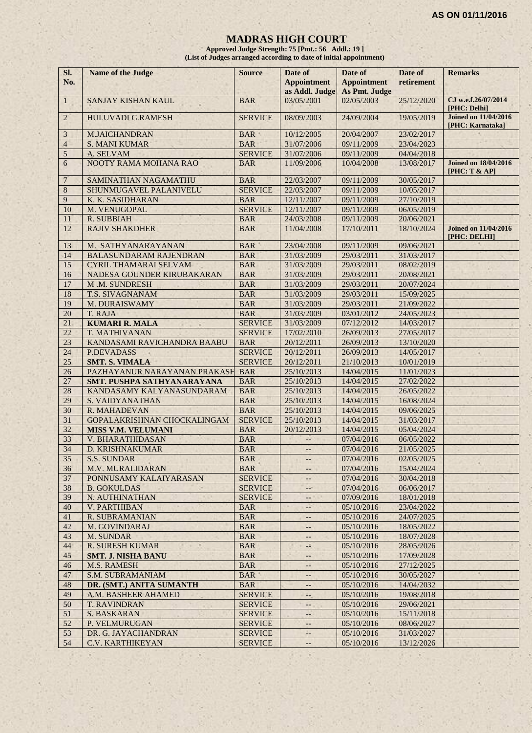#### **MADRAS HIGH COURT**

**Approved Judge Strength: 75 [Pmt.: 56 Addl.: 19 ] (List of Judges arranged according to date of initial appointment)**

| SI.<br>No.     | Name of the Judge             | <b>Source</b>  | Date of<br><b>Appointment</b><br>as Addl. Judge | Date of<br><b>Appointment</b><br>As Pmt. Judge | Date of<br>retirement | <b>Remarks</b>                                  |
|----------------|-------------------------------|----------------|-------------------------------------------------|------------------------------------------------|-----------------------|-------------------------------------------------|
| $\mathbf{1}$   | SANJAY KISHAN KAUL            | <b>BAR</b>     | 03/05/2001                                      | 02/05/2003                                     | 25/12/2020            | CJ w.e.f.26/07/2014<br>[PHC: Delhi]             |
| $2^{\circ}$    | <b>HULUVADI G.RAMESH</b>      | <b>SERVICE</b> | 08/09/2003                                      | 24/09/2004                                     | 19/05/2019            | <b>Joined on 11/04/2016</b><br>[PHC: Karnataka] |
| 3              | M.JAICHANDRAN                 | <b>BAR</b>     | 10/12/2005                                      | 20/04/2007                                     | 23/02/2017            |                                                 |
| $\overline{4}$ | <b>S. MANI KUMAR</b>          | <b>BAR</b>     | 31/07/2006                                      | 09/11/2009                                     | 23/04/2023            |                                                 |
| 5              | A. SELVAM                     | <b>SERVICE</b> | 31/07/2006                                      | 09/11/2009                                     | 04/04/2018            |                                                 |
| 6              | NOOTY RAMA MOHANA RAO         | <b>BAR</b>     | 11/09/2006                                      | 10/04/2008                                     | 13/08/2017            | <b>Joined on 18/04/2016</b><br>[PHC: T & AP]    |
| $\overline{7}$ | SAMINATHAN NAGAMATHU          | <b>BAR</b>     | 22/03/2007                                      | 09/11/2009                                     | 30/05/2017            |                                                 |
| 8              | SHUNMUGAVEL PALANIVELU        | <b>SERVICE</b> | 22/03/2007                                      | 09/11/2009                                     | 10/05/2017            |                                                 |
| 9              | K. K. SASIDHARAN              | <b>BAR</b>     | 12/11/2007                                      | 09/11/2009                                     | 27/10/2019            |                                                 |
| 10             | M. VENUGOPAL                  | <b>SERVICE</b> | 12/11/2007                                      | 09/11/2009                                     | 06/05/2019            |                                                 |
| 11             | R. SUBBIAH                    | <b>BAR</b>     | 24/03/2008                                      | 09/11/2009                                     | 20/06/2021            |                                                 |
| 12             | <b>RAJIV SHAKDHER</b>         | <b>BAR</b>     | 11/04/2008                                      | 17/10/2011                                     | 18/10/2024            | <b>Joined on 11/04/2016</b><br>[PHC: DELHI]     |
| 13             | M. SATHYANARAYANAN            | <b>BAR</b>     | 23/04/2008                                      | 09/11/2009                                     | 09/06/2021            |                                                 |
| 14             | <b>BALASUNDARAM RAJENDRAN</b> | <b>BAR</b>     | 31/03/2009                                      | 29/03/2011                                     | 31/03/2017            |                                                 |
| 15             | <b>CYRIL THAMARAI SELVAM</b>  | <b>BAR</b>     | 31/03/2009                                      | 29/03/2011                                     | 08/02/2019            |                                                 |
| 16             | NADESA GOUNDER KIRUBAKARAN    | <b>BAR</b>     | 31/03/2009                                      | 29/03/2011                                     | 20/08/2021            |                                                 |
| 17             | M.M. SUNDRESH                 | <b>BAR</b>     | 31/03/2009                                      | 29/03/2011                                     | 20/07/2024            |                                                 |
| 18             | T.S. SIVAGNANAM               | <b>BAR</b>     | 31/03/2009                                      | 29/03/2011                                     | 15/09/2025            |                                                 |
| 19             | M. DURAISWAMY                 | <b>BAR</b>     | 31/03/2009                                      | 29/03/2011                                     | 21/09/2022            |                                                 |
| 20             | T. RAJA                       | <b>BAR</b>     | 31/03/2009                                      | 03/01/2012                                     | 24/05/2023            |                                                 |
| 21             | <b>KUMARI R. MALA</b>         | <b>SERVICE</b> | 31/03/2009                                      | 07/12/2012                                     | 14/03/2017            |                                                 |
| 22             | <b>T. MATHIVANAN</b>          | <b>SERVICE</b> | 17/02/2010                                      | 26/09/2013                                     | 27/05/2017            |                                                 |
| 23             | KANDASAMI RAVICHANDRA BAABU   | <b>BAR</b>     | 20/12/2011                                      | 26/09/2013                                     | 13/10/2020            |                                                 |
| 24             | <b>P.DEVADASS</b>             | <b>SERVICE</b> | 20/12/2011                                      | 26/09/2013                                     | 14/05/2017            |                                                 |
| 25             | <b>SMT. S. VIMALA</b>         | <b>SERVICE</b> | 20/12/2011                                      | 21/10/2013                                     | 10/01/2019            |                                                 |
| 26             | PAZHAYANUR NARAYANAN PRAKASH  | <b>BAR</b>     | 25/10/2013                                      | 14/04/2015                                     | 11/01/2023            |                                                 |
| 27             | SMT. PUSHPA SATHYANARAYANA    | <b>BAR</b>     | 25/10/2013                                      | 14/04/2015                                     | 27/02/2022            |                                                 |
| 28             | KANDASAMY KALYANASUNDARAM     | <b>BAR</b>     | 25/10/2013                                      | 14/04/2015                                     | 26/05/2022            |                                                 |
| 29             | <b>S. VAIDYANATHAN</b>        | <b>BAR</b>     | 25/10/2013                                      | 14/04/2015                                     | 16/08/2024            |                                                 |
| 30             | R. MAHADEVAN                  | <b>BAR</b>     | 25/10/2013                                      | 14/04/2015                                     | 09/06/2025            |                                                 |
| 31             | GOPALAKRISHNAN CHOCKALINGAM   | <b>SERVICE</b> | 25/10/2013                                      | 14/04/2015                                     | 31/03/2017            |                                                 |
| 32             | <b>MISS V.M. VELUMANI</b>     | <b>BAR</b>     | 20/12/2013                                      | 14/04/2015                                     | 05/04/2024            |                                                 |
| 33             | <b>V. BHARATHIDASAN</b>       | <b>BAR</b>     | $ -$                                            | 07/04/2016                                     | 06/05/2022            |                                                 |
| 34             | D. KRISHNAKUMAR               | <b>BAR</b>     | $\overline{\phantom{a}}$                        | 07/04/2016                                     | 21/05/2025            |                                                 |
| 35             | <b>S.S. SUNDAR</b>            | <b>BAR</b>     | $\qquad \qquad -$                               | 07/04/2016                                     | 02/05/2025            |                                                 |
| 36             | M.V. MURALIDARAN              | <b>BAR</b>     | $\qquad \qquad -$                               | 07/04/2016                                     | 15/04/2024            |                                                 |
| 37             | PONNUSAMY KALAIYARASAN        | <b>SERVICE</b> |                                                 | 07/04/2016                                     | 30/04/2018            |                                                 |
| 38             | <b>B. GOKULDAS</b>            | <b>SERVICE</b> | $-4+$                                           | 07/04/2016                                     | 06/06/2017            |                                                 |
| 39             | N. AUTHINATHAN                | <b>SERVICE</b> |                                                 | 07/09/2016                                     | 18/01/2018            |                                                 |
| 40             | <b>V. PARTHIBAN</b>           | <b>BAR</b>     | $-1$                                            | 05/10/2016                                     | 23/04/2022            |                                                 |
| 41             | R. SUBRAMANIAN                | <b>BAR</b>     | $\qquad \qquad -$                               | 05/10/2016                                     | 24/07/2025            |                                                 |
| 42             | M. GOVINDARAJ                 | <b>BAR</b>     | --                                              | 05/10/2016                                     | 18/05/2022            |                                                 |
| 43             | M. SUNDAR                     | <b>BAR</b>     |                                                 | 05/10/2016                                     | 18/07/2028            |                                                 |
| 44             | <b>R. SURESH KUMAR</b>        | <b>BAR</b>     | -3                                              | 05/10/2016                                     | 28/05/2026            |                                                 |
| 45             | <b>SMT. J. NISHA BANU</b>     | <b>BAR</b>     | $-$                                             | 05/10/2016                                     | 17/09/2028            |                                                 |
| 46             | <b>M.S. RAMESH</b>            | <b>BAR</b>     | $- -$                                           | 05/10/2016                                     | 27/12/2025            |                                                 |
| 47             | <b>S.M. SUBRAMANIAM</b>       | <b>BAR</b>     | $\overline{\phantom{a}}$                        | 05/10/2016                                     | 30/05/2027            |                                                 |
| 48             | DR. (SMT.) ANITA SUMANTH      | <b>BAR</b>     | --                                              | 05/10/2016                                     | 14/04/2032            |                                                 |
| 49             | A.M. BASHEER AHAMED           | <b>SERVICE</b> | --                                              | 05/10/2016                                     | 19/08/2018            |                                                 |
| 50             | <b>T. RAVINDRAN</b>           | <b>SERVICE</b> | --                                              | 05/10/2016                                     | 29/06/2021            |                                                 |
| 51             | <b>S. BASKARAN</b>            | <b>SERVICE</b> | --1                                             | 05/10/2016                                     | 15/11/2018            |                                                 |
| 52             | P. VELMURUGAN                 | <b>SERVICE</b> | --                                              | 05/10/2016                                     | 08/06/2027            |                                                 |
| 53             | DR. G. JAYACHANDRAN           | <b>SERVICE</b> | $\overline{\phantom{a}}$                        | 05/10/2016                                     | 31/03/2027            |                                                 |
| 54             | C.V. KARTHIKEYAN              | <b>SERVICE</b> |                                                 | 05/10/2016                                     | 13/12/2026            |                                                 |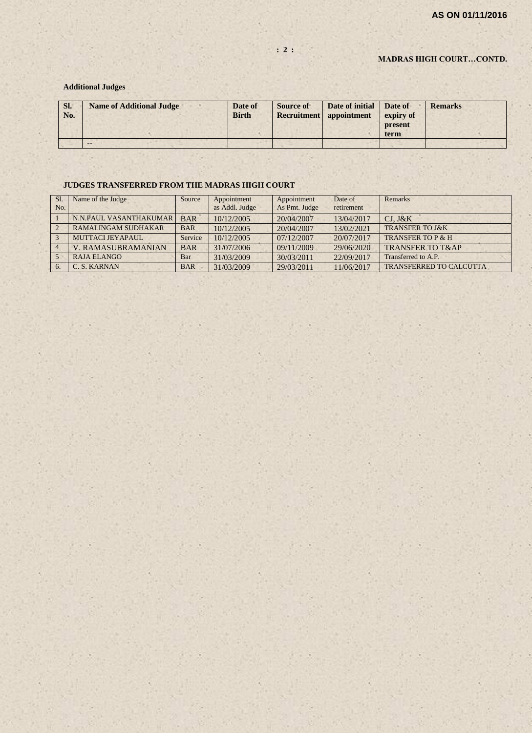#### **MADRAS HIGH COURT…CONTD.**

#### **Additional Judges**

| SI.<br>No. | <b>Name of Additional Judge</b> | Date of<br><b>Birth</b> | Source of | Date of initial<br><b>Recruitment</b> appointment | Date of<br>expiry of<br>present<br>term | <b>Remarks</b> |
|------------|---------------------------------|-------------------------|-----------|---------------------------------------------------|-----------------------------------------|----------------|
|            | $- -$                           |                         |           |                                                   |                                         |                |

#### **JUDGES TRANSFERRED FROM THE MADRAS HIGH COURT**

| S1.<br>No.     | Name of the Judge         | Source     | Appointment<br>as Addl. Judge | Appointment<br>As Pmt. Judge | Date of<br>retirement | Remarks                        |
|----------------|---------------------------|------------|-------------------------------|------------------------------|-----------------------|--------------------------------|
|                | N.N.PAUL VASANTHAKUMAR    | <b>BAR</b> | 10/12/2005                    | 20/04/2007                   | 13/04/2017            | $CJ.$ $J&K$                    |
| $\overline{2}$ | RAMALINGAM SUDHAKAR       | <b>BAR</b> | 10/12/2005                    | 20/04/2007                   | 13/02/2021            | <b>TRANSFER TO J&amp;K</b>     |
| $\mathcal{R}$  | MUTTACLIEYAPAUL           | Service    | 10/12/2005                    | 07/12/2007                   | 20/07/2017            | <b>TRANSFER TO P &amp; H</b>   |
|                | <b>V. RAMASUBRAMANIAN</b> | <b>BAR</b> | 31/07/2006                    | 09/11/2009                   | 29/06/2020            | <b>TRANSFER TO T&amp;AP</b>    |
|                | RAJA ELANGO               | Bar        | 31/03/2009                    | 30/03/2011                   | 22/09/2017            | Transferred to A.P.            |
| 6.             | C. S. KARNAN              | <b>BAR</b> | 31/03/2009                    | 29/03/2011                   | 11/06/2017            | <b>TRANSFERRED TO CALCUTTA</b> |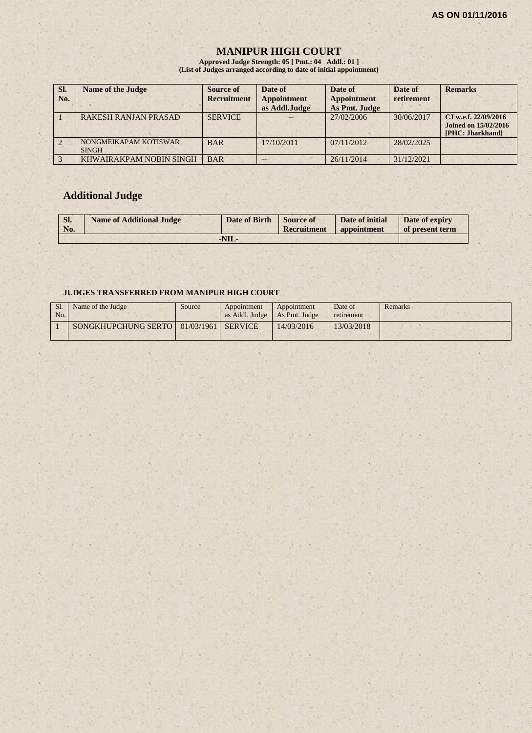# **MANIPUR HIGH COURT**

**Approved Judge Strength: 05 [ Pmt.: 04 Addl.: 01 ] (List of Judges arranged according to date of initial appointment)**

| SI.<br>No. | <b>Name of the Judge</b>              | Source of<br><b>Recruitment</b> | Date of<br><b>Appointment</b><br>as Addl.Judge | Date of<br><b>Appointment</b><br>As Pmt. Judge | Date of<br>retirement | <b>Remarks</b>                                                          |
|------------|---------------------------------------|---------------------------------|------------------------------------------------|------------------------------------------------|-----------------------|-------------------------------------------------------------------------|
|            | <b>RAKESH RANJAN PRASAD</b>           | <b>SERVICE</b>                  |                                                | 27/02/2006                                     | 30/06/2017            | CJ w.e.f. 22/09/2016<br><b>Joined on 15/02/2016</b><br>[PHC: Jharkhand] |
|            | NONGMEIKAPAM KOTISWAR<br><b>SINGH</b> | <b>BAR</b>                      | $-17/10/2011$                                  | 07/11/2012                                     | 28/02/2025            |                                                                         |
|            | KHWAIRAKPAM NOBIN SINGH               | <b>BAR</b>                      | --                                             | 26/11/2014                                     | 31/12/2021            |                                                                         |

# **Additional Judge**

| Sl.<br>No. | <b>Name of Additional Judge</b> | Date of Birth Source of | Recruitment | Date of initial<br>appointment | Date of expiry<br>of present term |
|------------|---------------------------------|-------------------------|-------------|--------------------------------|-----------------------------------|
|            |                                 | $-NIL$                  |             |                                |                                   |

#### **JUDGES TRANSFERRED FROM MANIPUR HIGH COURT**

| No. | Name of the Judge                          | Source | Appointment<br>as Addl. Judge   As Pmt. Judge | Appointment | Date of<br>retirement | Remarks |
|-----|--------------------------------------------|--------|-----------------------------------------------|-------------|-----------------------|---------|
|     | SONGKHUPCHUNG SERTO   01/03/1961   SERVICE |        |                                               | 14/03/2016  | 13/03/2018            |         |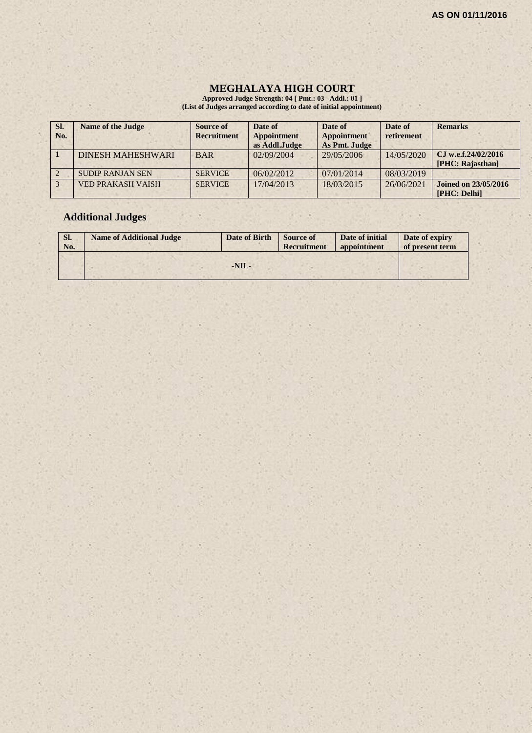$\mathcal{E} \times \mathcal{E}$ 

#### **MEGHALAYA HIGH COURT**

**Approved Judge Strength: 04 [ Pmt.: 03 Addl.: 01 ] (List of Judges arranged according to date of initial appointment)**

| SI.<br>No. | <b>Name of the Judge</b> | Source of<br><b>Recruitment</b> | Date of<br><b>Appointment</b><br>as Addl.Judge | Date of<br><b>Appointment</b><br>As Pmt. Judge | Date of<br>retirement | <b>Remarks</b>                              |
|------------|--------------------------|---------------------------------|------------------------------------------------|------------------------------------------------|-----------------------|---------------------------------------------|
|            | <b>DINESH MAHESHWARI</b> | <b>BAR</b>                      | 02/09/2004                                     | 29/05/2006                                     | 14/05/2020            | C.I w.e.f.24/02/2016<br>[PHC: Rajasthan]    |
|            | <b>SUDIP RANJAN SEN</b>  | <b>SERVICE</b>                  | 06/02/2012                                     | 07/01/2014                                     | 08/03/2019            |                                             |
|            | <b>VED PRAKASH VAISH</b> | <b>SERVICE</b>                  | 17/04/2013                                     | 18/03/2015                                     | 26/06/2021            | <b>Joined on 23/05/2016</b><br>[PHC: Delhi] |

 $x \rightarrow x$ 

# **Additional Judges**

| Sl.<br>No. | <b>Name of Additional Judge</b> | Date of Birth | <b>Source of</b><br>Recruitment | Date of initial<br>appointment | Date of expiry<br>of present term |
|------------|---------------------------------|---------------|---------------------------------|--------------------------------|-----------------------------------|
|            |                                 | $-NIL-$       |                                 |                                |                                   |

 $(1 - 1)$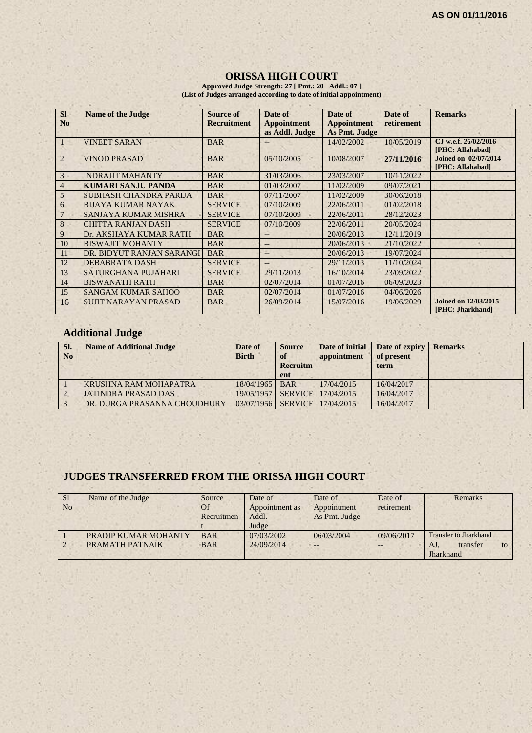#### **ORISSA HIGH COURT**

**Approved Judge Strength: 27 [ Pmt.: 20 Addl.: 07 ] (List of Judges arranged according to date of initial appointment)**

| <b>SI</b><br>N <sub>0</sub> | <b>Name of the Judge</b>    | <b>Source of</b><br><b>Recruitment</b> | Date of<br><b>Appointment</b><br>as Addl. Judge | Date of<br><b>Appointment</b><br>As Pmt. Judge | Date of<br>retirement | <b>Remarks</b>                                  |
|-----------------------------|-----------------------------|----------------------------------------|-------------------------------------------------|------------------------------------------------|-----------------------|-------------------------------------------------|
|                             | <b>VINEET SARAN</b>         | <b>BAR</b>                             |                                                 | 14/02/2002                                     | 10/05/2019            | CJ w.e.f. 26/02/2016<br>[PHC: Allahabad]        |
| $\overline{2}$              | <b>VINOD PRASAD</b>         | <b>BAR</b>                             | 05/10/2005                                      | 10/08/2007                                     | 27/11/2016            | <b>Joined on 02/07/2014</b><br>[PHC: Allahabad] |
| 3                           | <b>INDRAJIT MAHANTY</b>     | <b>BAR</b>                             | 31/03/2006                                      | 23/03/2007                                     | 10/11/2022            |                                                 |
| $\overline{4}$              | <b>KUMARI SANJU PANDA</b>   | <b>BAR</b>                             | 01/03/2007                                      | 11/02/2009                                     | 09/07/2021            |                                                 |
| 5                           | SUBHASH CHANDRA PARIJA      | <b>BAR</b>                             | 07/11/2007                                      | 11/02/2009                                     | 30/06/2018            |                                                 |
| 6                           | <b>BIJAYA KUMAR NAYAK</b>   | <b>SERVICE</b>                         | 07/10/2009                                      | 22/06/2011                                     | 01/02/2018            |                                                 |
|                             | <b>SANJAYA KUMAR MISHRA</b> | <b>SERVICE</b>                         | 07/10/2009                                      | 22/06/2011                                     | 28/12/2023            |                                                 |
| 8                           | <b>CHITTA RANJAN DASH</b>   | <b>SERVICE</b>                         | 07/10/2009                                      | 22/06/2011                                     | 20/05/2024            |                                                 |
| 9                           | Dr. AKSHAYA KUMAR RATH      | <b>BAR</b>                             | $--$                                            | 20/06/2013                                     | 12/11/2019            |                                                 |
| 10                          | <b>BISWAJIT MOHANTY</b>     | <b>BAR</b>                             | $-$                                             | 20/06/2013                                     | 21/10/2022            |                                                 |
| 11                          | DR. BIDYUT RANJAN SARANGI   | <b>BAR</b>                             | $--$                                            | 20/06/2013                                     | 19/07/2024            |                                                 |
| 12                          | DEBABRATA DASH              | <b>SERVICE</b>                         | --                                              | 29/11/2013                                     | 11/10/2024            |                                                 |
| 13                          | SATURGHANA PUJAHARI         | <b>SERVICE</b>                         | 29/11/2013                                      | 16/10/2014                                     | 23/09/2022            |                                                 |
| 14                          | <b>BISWANATH RATH</b>       | <b>BAR</b>                             | 02/07/2014                                      | 01/07/2016                                     | 06/09/2023            |                                                 |
| 15                          | <b>SANGAM KUMAR SAHOO</b>   | <b>BAR</b>                             | 02/07/2014                                      | 01/07/2016                                     | 04/06/2026            |                                                 |
| 16                          | <b>SUJIT NARAYAN PRASAD</b> | <b>BAR</b>                             | 26/09/2014                                      | 15/07/2016                                     | 19/06/2029            | <b>Joined on 12/03/2015</b><br>[PHC: Jharkhand] |

# **Additional Judge**

| SI.<br>N <sub>0</sub> | <b>Name of Additional Judge</b> | Date of<br><b>Birth</b> | <b>Source</b><br><sup>of</sup><br><b>Recruitm</b><br>ent | Date of initial<br>appointment | Date of expiry<br>of present<br>term | <b>Remarks</b> |
|-----------------------|---------------------------------|-------------------------|----------------------------------------------------------|--------------------------------|--------------------------------------|----------------|
|                       | KRUSHNA RAM MOHAPATRA           | 18/04/1965 BAR          |                                                          | 17/04/2015                     | 16/04/2017                           |                |
|                       | <b>JATINDRA PRASAD DAS</b>      | 19/05/1957              |                                                          | SERVICE 17/04/2015             | 16/04/2017                           |                |
|                       | DR. DURGA PRASANNA CHOUDHURY    |                         |                                                          | 03/07/1956 SERVICE 17/04/2015  | 16/04/2017                           |                |

×.

# **JUDGES TRANSFERRED FROM THE ORISSA HIGH COURT**

| S <sub>1</sub> | Name of the Judge    | Source     | Date of        | Date of       | Date of    | Remarks                      |
|----------------|----------------------|------------|----------------|---------------|------------|------------------------------|
| N <sub>0</sub> |                      | Of         | Appointment as | Appointment   | retirement |                              |
|                |                      | Recruitmen | Addl.          | As Pmt. Judge |            |                              |
|                |                      |            | Judge          |               |            |                              |
|                | PRADIP KUMAR MOHANTY | <b>BAR</b> | 07/03/2002     | 06/03/2004    | 09/06/2017 | <b>Transfer to Jharkhand</b> |
|                | PRAMATH PATNAIK      | <b>BAR</b> | 24/09/2014     | $-$           |            | transfer<br>AJ.<br>to        |
|                |                      |            |                |               |            | Jharkhand                    |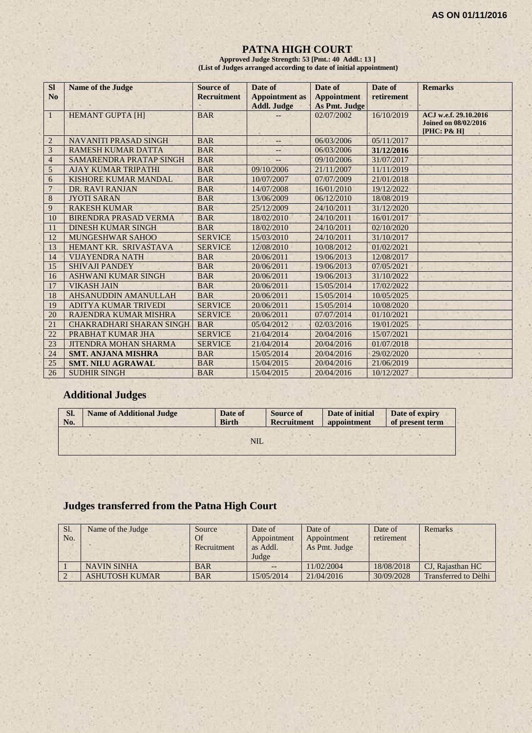#### **PATNA HIGH COURT**

**Approved Judge Strength: 53 [Pmt.: 40 Addl.: 13 ] (List of Judges arranged according to date of initial appointment)**

| <b>Sl</b><br>N <sub>0</sub> | <b>Name of the Judge</b>     | Source of<br><b>Recruitment</b> | Date of<br><b>Appointment</b> as<br><b>Addl. Judge</b> | Date of<br><b>Appointment</b><br>As Pmt. Judge | Date of<br>retirement | <b>Remarks</b>                                                      |
|-----------------------------|------------------------------|---------------------------------|--------------------------------------------------------|------------------------------------------------|-----------------------|---------------------------------------------------------------------|
| $\mathbf{1}$                | <b>HEMANT GUPTA [H]</b>      | <b>BAR</b>                      |                                                        | 02/07/2002                                     | 16/10/2019            | ACJ w.e.f. 29.10.2016<br><b>Joined on 08/02/2016</b><br>[PHC: P& H] |
| $\overline{2}$              | <b>NAVANITI PRASAD SINGH</b> | <b>BAR</b>                      | --                                                     | 06/03/2006                                     | 05/11/2017            |                                                                     |
| 3                           | <b>RAMESH KUMAR DATTA</b>    | <b>BAR</b>                      | <u></u>                                                | 06/03/2006                                     | 31/12/2016            |                                                                     |
| $\overline{4}$              | SAMARENDRA PRATAP SINGH      | <b>BAR</b>                      |                                                        | 09/10/2006                                     | 31/07/2017            |                                                                     |
| 5                           | <b>AJAY KUMAR TRIPATHI</b>   | <b>BAR</b>                      | 09/10/2006                                             | 21/11/2007                                     | 11/11/2019            |                                                                     |
| 6                           | KISHORE KUMAR MANDAL         | <b>BAR</b>                      | 10/07/2007                                             | 07/07/2009                                     | 21/01/2018            |                                                                     |
| $\overline{7}$              | DR. RAVI RANJAN              | <b>BAR</b>                      | 14/07/2008                                             | 16/01/2010                                     | 19/12/2022            |                                                                     |
| $\bf 8$                     | <b>JYOTI SARAN</b>           | <b>BAR</b>                      | 13/06/2009                                             | 06/12/2010                                     | 18/08/2019            |                                                                     |
| 9                           | <b>RAKESH KUMAR</b>          | <b>BAR</b>                      | 25/12/2009                                             | 24/10/2011                                     | 31/12/2020            |                                                                     |
| 10                          | BIRENDRA PRASAD VERMA        | <b>BAR</b>                      | 18/02/2010                                             | 24/10/2011                                     | 16/01/2017            |                                                                     |
| 11                          | <b>DINESH KUMAR SINGH</b>    | <b>BAR</b>                      | 18/02/2010                                             | 24/10/2011                                     | 02/10/2020            |                                                                     |
| 12                          | <b>MUNGESHWAR SAHOO</b>      | <b>SERVICE</b>                  | 15/03/2010                                             | 24/10/2011                                     | 31/10/2017            |                                                                     |
| 13                          | HEMANT KR. SRIVASTAVA        | <b>SERVICE</b>                  | 12/08/2010                                             | 10/08/2012                                     | 01/02/2021            |                                                                     |
| 14                          | <b>VIJAYENDRA NATH</b>       | <b>BAR</b>                      | 20/06/2011                                             | 19/06/2013                                     | 12/08/2017            |                                                                     |
| 15                          | <b>SHIVAJI PANDEY</b>        | <b>BAR</b>                      | 20/06/2011                                             | 19/06/2013                                     | 07/05/2021            |                                                                     |
| 16                          | <b>ASHWANI KUMAR SINGH</b>   | <b>BAR</b>                      | 20/06/2011                                             | 19/06/2013                                     | 31/10/2022            |                                                                     |
| 17                          | <b>VIKASH JAIN</b>           | <b>BAR</b>                      | 20/06/2011                                             | 15/05/2014                                     | 17/02/2022            |                                                                     |
| 18                          | AHSANUDDIN AMANULLAH         | <b>BAR</b>                      | 20/06/2011                                             | 15/05/2014                                     | 10/05/2025            |                                                                     |
| 19                          | <b>ADITYA KUMAR TRIVEDI</b>  | <b>SERVICE</b>                  | 20/06/2011                                             | 15/05/2014                                     | 10/08/2020            |                                                                     |
| 20                          | RAJENDRA KUMAR MISHRA        | <b>SERVICE</b>                  | 20/06/2011                                             | 07/07/2014                                     | 01/10/2021            |                                                                     |
| 21                          | CHAKRADHARI SHARAN SINGH     | <b>BAR</b>                      | 05/04/2012                                             | 02/03/2016                                     | 19/01/2025            |                                                                     |
| 22                          | PRABHAT KUMAR JHA            | <b>SERVICE</b>                  | 21/04/2014                                             | 20/04/2016                                     | 15/07/2021            |                                                                     |
| 23                          | <b>JITENDRA MOHAN SHARMA</b> | <b>SERVICE</b>                  | 21/04/2014                                             | 20/04/2016                                     | 01/07/2018            |                                                                     |
| 24                          | <b>SMT. ANJANA MISHRA</b>    | <b>BAR</b>                      | 15/05/2014                                             | 20/04/2016                                     | 29/02/2020            |                                                                     |
| 25                          | <b>SMT. NILU AGRAWAL</b>     | <b>BAR</b>                      | 15/04/2015                                             | 20/04/2016                                     | 21/06/2019            |                                                                     |
| 26                          | <b>SUDHIR SINGH</b>          | <b>BAR</b>                      | 15/04/2015                                             | 20/04/2016                                     | 10/12/2027            |                                                                     |

# **Additional Judges**

| Sl. | <b>Name of Additional Judge</b> | Date of      | <b>Source of</b>   | Date of initial | Date of expiry  |
|-----|---------------------------------|--------------|--------------------|-----------------|-----------------|
| No. |                                 | <b>Birth</b> | <b>Recruitment</b> | appointment     | of present term |
|     |                                 | <b>NIL</b>   |                    |                 |                 |

# **Judges transferred from the Patna High Court**

| Sl.<br>No. | Name of the Judge     | Source<br>Of<br>Recruitment | Date of<br>Appointment<br>as Addl.<br>Judge | Date of<br>Appointment<br>As Pmt. Judge | Date of<br>retirement | Remarks                     |
|------------|-----------------------|-----------------------------|---------------------------------------------|-----------------------------------------|-----------------------|-----------------------------|
|            | <b>NAVIN SINHA</b>    | <b>BAR</b>                  |                                             | 11/02/2004                              | 18/08/2018            | CJ. Rajasthan HC            |
|            | <b>ASHUTOSH KUMAR</b> | <b>BAR</b>                  | 15/05/2014                                  | 21/04/2016                              | 30/09/2028            | <b>Transferred to Delhi</b> |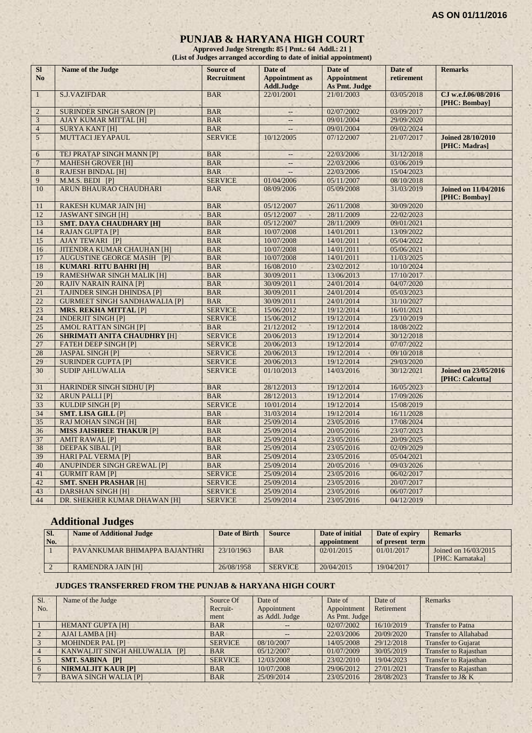#### **PUNJAB & HARYANA HIGH COURT**

**Approved Judge Strength: 85 [ Pmt.: 64 Addl.: 21 ] (List of Judges arranged according to date of initial appointment)**

| SI<br>N <sub>o</sub> | Name of the Judge                    | <b>Source of</b><br><b>Recruitment</b> | Date of<br><b>Appointment</b> as<br><b>Addl.Judge</b> | Date of<br><b>Appointment</b><br><b>As Pmt. Judge</b> | Date of<br>retirement | <b>Remarks</b>                                 |
|----------------------|--------------------------------------|----------------------------------------|-------------------------------------------------------|-------------------------------------------------------|-----------------------|------------------------------------------------|
| $\mathbf{1}$         | <b>S.J.VAZIFDAR</b>                  | <b>BAR</b>                             | 22/01/2001                                            | 21/01/2003                                            | 03/05/2018            | CJ w.e.f.06/08/2016<br>[PHC: Bombay]           |
| $\overline{2}$       | <b>SURINDER SINGH SARON [P]</b>      | <b>BAR</b>                             | $\overline{a}$                                        | 02/07/2002                                            | 03/09/2017            |                                                |
| 3                    | <b>AJAY KUMAR MITTAL [H]</b>         | <b>BAR</b>                             | $-$                                                   | 09/01/2004                                            | 29/09/2020            |                                                |
| $\overline{4}$       | <b>SURYA KANT [H]</b>                | <b>BAR</b>                             | $\overline{a}$                                        | 09/01/2004                                            | 09/02/2024            |                                                |
| $5^{\circ}$          | MUTTACI JEYAPAUL                     | <b>SERVICE</b>                         | 10/12/2005                                            | 07/12/2007                                            | 21/07/2017            | <b>Joined 28/10/2010</b><br>[PHC: Madras]      |
| 6                    | TEJ PRATAP SINGH MANN [P]            | <b>BAR</b>                             | $\overline{\phantom{a}}$                              | 22/03/2006                                            | 31/12/2018            |                                                |
| $\overline{7}$       | <b>MAHESH GROVER [H]</b>             | <b>BAR</b>                             |                                                       | 22/03/2006                                            | 03/06/2019            |                                                |
| $\,8$                | <b>RAJESH BINDAL [H]</b>             | <b>BAR</b>                             |                                                       | 22/03/2006                                            | 15/04/2023            |                                                |
| 9                    | M.M.S. BEDI [P]                      | <b>SERVICE</b>                         | 01/04/2006                                            | 05/11/2007                                            | 08/10/2018            |                                                |
| 10                   | ARUN BHAURAO CHAUDHARI               | <b>BAR</b>                             | 08/09/2006                                            | 05/09/2008                                            | 31/03/2019            | <b>Joined on 11/04/2016</b><br>[PHC: Bombay]   |
| 11                   | <b>RAKESH KUMAR JAIN [H]</b>         | <b>BAR</b>                             | 05/12/2007                                            | 26/11/2008                                            | 30/09/2020            |                                                |
| 12                   | <b>JASWANT SINGH [H]</b>             | <b>BAR</b>                             | 05/12/2007                                            | 28/11/2009                                            | 22/02/2023            |                                                |
| 13                   | <b>SMT. DAYA CHAUDHARY [H]</b>       | <b>BAR</b>                             | 05/12/2007                                            | 28/11/2009                                            | 09/01/2021            |                                                |
| 14                   | <b>RAJAN GUPTA [P]</b>               | <b>BAR</b>                             | 10/07/2008                                            | 14/01/2011                                            | 13/09/2022            |                                                |
| 15                   | <b>AJAY TEWARI [P]</b>               | <b>BAR</b>                             | 10/07/2008                                            | 14/01/2011                                            | 05/04/2022            |                                                |
| 16                   | <b>JITENDRA KUMAR CHAUHAN [H]</b>    | <b>BAR</b>                             | 10/07/2008                                            | 14/01/2011                                            | 05/06/2021            |                                                |
| 17                   | <b>AUGUSTINE GEORGE MASIH [P]</b>    | <b>BAR</b>                             | 10/07/2008                                            | 14/01/2011                                            | 11/03/2025            |                                                |
| 18                   | <b>KUMARI RITU BAHRI [H]</b>         | <b>BAR</b>                             | 16/08/2010                                            | 23/02/2012                                            | 10/10/2024            |                                                |
| 19                   | <b>RAMESHWAR SINGH MALIK [H]</b>     | <b>BAR</b>                             | 30/09/2011                                            | 13/06/2013                                            | 17/10/2017            |                                                |
| 20                   | <b>RAJIV NARAIN RAINA [P]</b>        | <b>BAR</b>                             | 30/09/2011                                            | 24/01/2014                                            | 04/07/2020            |                                                |
| 21                   | <b>TAJINDER SINGH DHINDSA [P]</b>    | <b>BAR</b>                             | 30/09/2011                                            | 24/01/2014                                            | 05/03/2023            |                                                |
| 22                   | <b>GURMEET SINGH SANDHAWALIA [P]</b> | <b>BAR</b>                             | 30/09/2011                                            | 24/01/2014                                            | 31/10/2027            |                                                |
| 23                   | <b>MRS. REKHA MITTAL [P]</b>         | <b>SERVICE</b>                         | 15/06/2012                                            | 19/12/2014                                            | 16/01/2021            |                                                |
| 24                   | <b>INDERJIT SINGH [P]</b>            | <b>SERVICE</b>                         | 15/06/2012                                            | 19/12/2014                                            | 23/10/2019            |                                                |
| $\overline{25}$      | <b>AMOL RATTAN SINGH [P]</b>         | <b>BAR</b>                             | 21/12/2012<br>×                                       | 19/12/2014                                            | 18/08/2022            |                                                |
| 26                   | <b>SHRIMATI ANITA CHAUDHRY [H]</b>   | <b>SERVICE</b>                         | 20/06/2013                                            | 19/12/2014                                            | 30/12/2018            |                                                |
| 27                   | <b>FATEH DEEP SINGH [P]</b>          | <b>SERVICE</b>                         | 20/06/2013                                            | 19/12/2014                                            | 07/07/2022            |                                                |
| 28                   | <b>JASPAL SINGH [P]</b>              | <b>SERVICE</b>                         | 20/06/2013                                            | 19/12/2014                                            | 09/10/2018            |                                                |
| 29                   | <b>SURINDER GUPTA [P]</b>            | <b>SERVICE</b>                         | 20/06/2013                                            | 19/12/2014                                            | 29/03/2020            |                                                |
| 30                   | <b>SUDIP AHLUWALIA</b>               | <b>SERVICE</b>                         | 01/10/2013                                            | 14/03/2016                                            | 30/12/2021            | <b>Joined on 23/05/2016</b><br>[PHC: Calcutta] |
| 31                   | <b>HARINDER SINGH SIDHU [P]</b>      | <b>BAR</b>                             | 28/12/2013                                            | 19/12/2014                                            | 16/05/2023            |                                                |
| 32                   | <b>ARUN PALLI [P]</b>                | <b>BAR</b>                             | 28/12/2013                                            | 19/12/2014                                            | 17/09/2026            |                                                |
| 33                   | <b>KULDIP SINGH [P]</b>              | <b>SERVICE</b>                         | 10/01/2014                                            | 19/12/2014                                            | 15/08/2019            |                                                |
| 34                   | SMT. LISA GILL [P]                   | <b>BAR</b>                             | 31/03/2014                                            | 19/12/2014                                            | 16/11/2028            |                                                |
| 35                   | <b>RAJ MOHAN SINGH [H]</b>           | <b>BAR</b>                             | 25/09/2014                                            | 23/05/2016                                            | 17/08/2024            |                                                |
| 36                   | <b>MISS JAISHREE THAKUR [P]</b>      | <b>BAR</b>                             | 25/09/2014                                            | 20/05/2016                                            | 23/07/2023            |                                                |
| 37                   | <b>AMIT RAWAL [P]</b>                | <b>BAR</b>                             | 25/09/2014                                            | 23/05/2016                                            | 20/09/2025            |                                                |
| 38                   | <b>DEEPAK SIBAL [P]</b>              | <b>BAR</b>                             | 25/09/2014                                            | 23/05/2016                                            | 02/09/2029            |                                                |
| 39                   | <b>HARI PAL VERMA [P]</b>            | <b>BAR</b>                             | 25/09/2014                                            | 23/05/2016                                            | 05/04/2021            |                                                |
| 40                   | <b>ANUPINDER SINGH GREWAL [P]</b>    | <b>BAR</b>                             | 25/09/2014                                            | 20/05/2016                                            | 09/03/2026            |                                                |
| 41                   | <b>GURMIT RAM [P]</b>                | <b>SERVICE</b>                         | 25/09/2014                                            | 23/05/2016                                            | 06/02/2017            |                                                |
| 42                   | <b>SMT. SNEH PRASHAR [H]</b>         | <b>SERVICE</b>                         | 25/09/2014                                            | 23/05/2016                                            | 20/07/2017            |                                                |
| 43                   | <b>DARSHAN SINGH [H]</b>             | <b>SERVICE</b>                         | 25/09/2014                                            | 23/05/2016                                            | 06/07/2017            |                                                |
| 44                   | DR. SHEKHER KUMAR DHAWAN [H]         | <b>SERVICE</b>                         | 25/09/2014                                            | 23/05/2016                                            | 04/12/2019            |                                                |

# **Additional Judges**

| SI.<br>No. | <b>Name of Additional Judge</b> | Date of Birth | <b>Source</b>  | Date of initial<br>appointment | Date of expiry<br>of present term | <b>Remarks</b>                           |
|------------|---------------------------------|---------------|----------------|--------------------------------|-----------------------------------|------------------------------------------|
|            | PAVANKUMAR BHIMAPPA BAJANTHRI   | 23/10/1963    | <b>BAR</b>     | 02/01/2015                     | 01/01/2017                        | Joined on 16/03/2015<br>[PHC: Karnataka] |
|            | <b>RAMENDRA JAIN [H]</b>        | 26/08/1958    | <b>SERVICE</b> | 20/04/2015                     | 19/04/2017                        |                                          |

#### **JUDGES TRANSFERRED FROM THE PUNJAB & HARYANA HIGH COURT**

| $S1$ .         | Name of the Judge             | Source Of      | Date of           | Date of       | Date of    | Remarks                      |
|----------------|-------------------------------|----------------|-------------------|---------------|------------|------------------------------|
| No.            |                               | Recruit-       | Appointment       | Appointment   | Retirement |                              |
|                |                               | ment           | as Addl. Judge    | As Pmt. Judge |            |                              |
|                | <b>HEMANT GUPTA [H]</b>       | <b>BAR</b>     | $\qquad \qquad -$ | 02/07/2002    | 16/10/2019 | <b>Transfer to Patna</b>     |
| $\sqrt{2}$     | <b>AJAI LAMBA [H]</b>         | <b>BAR</b>     |                   | 22/03/2006    | 20/09/2020 | <b>Transfer to Allahabad</b> |
|                | <b>MOHINDER PAL [P]</b>       | <b>SERVICE</b> | 08/10/2007        | 14/05/2008    | 29/12/2018 | <b>Transfer to Gujarat</b>   |
| $\overline{4}$ | KANWALJIT SINGH AHLUWALIA [P] | <b>BAR</b>     | 05/12/2007        | 01/07/2009    | 30/05/2019 | <b>Transfer to Rajasthan</b> |
|                | <b>SMT. SABINA [P]</b>        | <b>SERVICE</b> | 12/03/2008        | 23/02/2010    | 19/04/2023 | <b>Transfer to Rajasthan</b> |
| -6             | <b>NIRMALJIT KAUR [P]</b>     | <b>BAR</b>     | 10/07/2008        | 29/06/2012    | 27/01/2021 | <b>Transfer to Rajasthan</b> |
|                | <b>BAWA SINGH WALIA [P]</b>   | <b>BAR</b>     | 25/09/2014        | 23/05/2016    | 28/08/2023 | Transfer to J& K             |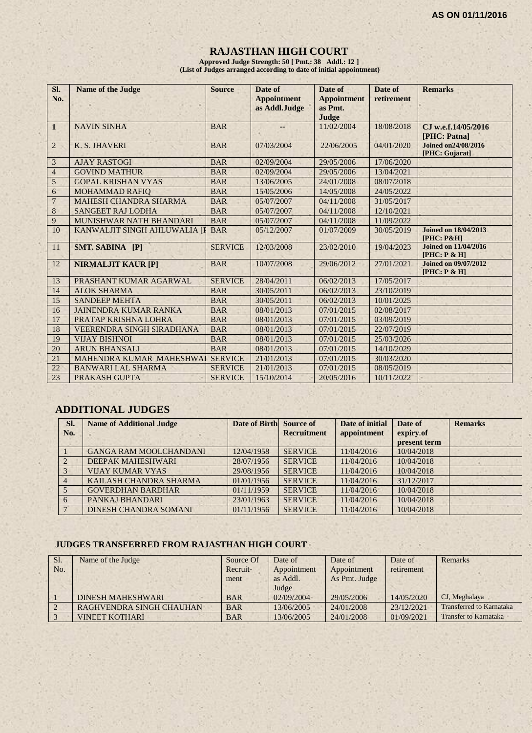# **RAJASTHAN HIGH COURT**

**Approved Judge Strength: 50 [ Pmt.: 38 Addl.: 12 ] (List of Judges arranged according to date of initial appointment)**

| SI.<br>No.     | <b>Name of the Judge</b>         | <b>Source</b>  | Date of<br><b>Appointment</b><br>as Addl.Judge | Date of<br><b>Appointment</b><br>as Pmt.<br>Judge | Date of<br>retirement | <b>Remarks</b>                                       |
|----------------|----------------------------------|----------------|------------------------------------------------|---------------------------------------------------|-----------------------|------------------------------------------------------|
| $\mathbf{1}$   | <b>NAVIN SINHA</b>               | <b>BAR</b>     |                                                | 11/02/2004                                        | 18/08/2018            | CJ w.e.f.14/05/2016<br>[PHC: Patna]                  |
| $\overline{2}$ | K. S. JHAVERI                    | <b>BAR</b>     | 07/03/2004                                     | 22/06/2005                                        | 04/01/2020            | Joined on 24/08/2016<br>[PHC: Gujarat]               |
| $\overline{3}$ | <b>AJAY RASTOGI</b>              | <b>BAR</b>     | 02/09/2004                                     | 29/05/2006                                        | 17/06/2020            |                                                      |
| $\overline{4}$ | <b>GOVIND MATHUR</b>             | <b>BAR</b>     | 02/09/2004                                     | 29/05/2006                                        | 13/04/2021            |                                                      |
| 5              | <b>GOPAL KRISHAN VYAS</b>        | <b>BAR</b>     | 13/06/2005                                     | 24/01/2008                                        | 08/07/2018            |                                                      |
| 6              | <b>MOHAMMAD RAFIO</b>            | <b>BAR</b>     | 15/05/2006                                     | 14/05/2008                                        | 24/05/2022            |                                                      |
| $\overline{7}$ | <b>MAHESH CHANDRA SHARMA</b>     | <b>BAR</b>     | 05/07/2007                                     | 04/11/2008                                        | 31/05/2017            |                                                      |
| $\overline{8}$ | <b>SANGEET RAJ LODHA</b>         | <b>BAR</b>     | 05/07/2007                                     | 04/11/2008                                        | 12/10/2021            |                                                      |
| $\overline{9}$ | MUNISHWAR NATH BHANDARI          | <b>BAR</b>     | 05/07/2007                                     | 04/11/2008                                        | 11/09/2022            |                                                      |
| 10             | KANWALJIT SINGH AHLUWALIA [I     | <b>BAR</b>     | 05/12/2007                                     | 01/07/2009                                        | 30/05/2019            | <b>Joined on 18/04/2013</b><br><b>[PHC: P&amp;H]</b> |
| 11             | SMT. SABINA [P]                  | <b>SERVICE</b> | 12/03/2008                                     | 23/02/2010                                        | 19/04/2023            | <b>Joined on 11/04/2016</b><br>[PHC: P & H]          |
| 12             | <b>NIRMALJIT KAUR [P]</b>        | <b>BAR</b>     | 10/07/2008                                     | 29/06/2012                                        | 27/01/2021            | <b>Joined on 09/07/2012</b><br>[PHC: P & H]          |
| 13             | PRASHANT KUMAR AGARWAL           | <b>SERVICE</b> | 28/04/2011                                     | 06/02/2013                                        | 17/05/2017            |                                                      |
| 14             | <b>ALOK SHARMA</b>               | <b>BAR</b>     | 30/05/2011                                     | 06/02/2013                                        | 23/10/2019            |                                                      |
| 15             | <b>SANDEEP MEHTA</b>             | <b>BAR</b>     | 30/05/2011                                     | 06/02/2013                                        | 10/01/2025            |                                                      |
| 16             | <b>JAINENDRA KUMAR RANKA</b>     | <b>BAR</b>     | 08/01/2013                                     | 07/01/2015                                        | 02/08/2017            |                                                      |
| 17             | PRATAP KRISHNA LOHRA             | <b>BAR</b>     | 08/01/2013                                     | 07/01/2015                                        | 03/09/2019            |                                                      |
| 18             | <b>VEERENDRA SINGH SIRADHANA</b> | <b>BAR</b>     | 08/01/2013                                     | 07/01/2015                                        | 22/07/2019            |                                                      |
| 19             | <b>VIJAY BISHNOI</b>             | <b>BAR</b>     | 08/01/2013                                     | 07/01/2015                                        | 25/03/2026            |                                                      |
| 20             | <b>ARUN BHANSALI</b>             | <b>BAR</b>     | 08/01/2013                                     | 07/01/2015                                        | 14/10/2029            |                                                      |
| 21             | MAHENDRA KUMAR MAHESHWAI         | <b>SERVICE</b> | 21/01/2013                                     | 07/01/2015                                        | 30/03/2020            |                                                      |
| 22             | <b>BANWARI LAL SHARMA</b>        | <b>SERVICE</b> | 21/01/2013                                     | 07/01/2015                                        | 08/05/2019            |                                                      |
| 23             | PRAKASH GUPTA                    | <b>SERVICE</b> | 15/10/2014                                     | 20/05/2016                                        | 10/11/2022            |                                                      |

# **ADDITIONAL JUDGES**

| SI.<br>No. | <b>Name of Additional Judge</b> | Date of Birth Source of | <b>Recruitment</b> | Date of initial<br>appointment | Date of<br>expiry of<br>present term | <b>Remarks</b> |
|------------|---------------------------------|-------------------------|--------------------|--------------------------------|--------------------------------------|----------------|
|            | <b>GANGA RAM MOOLCHANDANI</b>   | 12/04/1958              | <b>SERVICE</b>     | 11/04/2016                     | 10/04/2018                           |                |
|            | DEEPAK MAHESHWARI               | 28/07/1956              | <b>SERVICE</b>     | 11/04/2016                     | 10/04/2018                           |                |
|            | <b>VIJAY KUMAR VYAS</b>         | 29/08/1956              | <b>SERVICE</b>     | 11/04/2016                     | 10/04/2018                           |                |
|            | KAILASH CHANDRA SHARMA          | 01/01/1956              | <b>SERVICE</b>     | 11/04/2016                     | 31/12/2017                           |                |
|            | <b>GOVERDHAN BARDHAR</b>        | 01/11/1959              | <b>SERVICE</b>     | 11/04/2016                     | 10/04/2018                           |                |
| 6          | PANKAJ BHANDARI                 | 23/01/1963              | <b>SERVICE</b>     | 11/04/2016                     | 10/04/2018                           |                |
|            | <b>DINESH CHANDRA SOMANI</b>    | 01/11/1956              | <b>SERVICE</b>     | 11/04/2016                     | 10/04/2018                           |                |

#### **JUDGES TRANSFERRED FROM RAJASTHAN HIGH COURT**

| Sl. | Name of the Judge        | Source Of  | Date of     | Date of       | Date of    | Remarks                         |
|-----|--------------------------|------------|-------------|---------------|------------|---------------------------------|
| No. |                          | Recruit-   | Appointment | Appointment   | retirement |                                 |
|     |                          | ment       | as Addl.    | As Pmt. Judge |            |                                 |
|     |                          |            | Judge       |               |            |                                 |
|     | <b>DINESH MAHESHWARI</b> | <b>BAR</b> | 02/09/2004  | 29/05/2006    | 14/05/2020 | CJ, Meghalaya                   |
|     | RAGHVENDRA SINGH CHAUHAN | <b>BAR</b> | 13/06/2005  | 24/01/2008    | 23/12/2021 | <b>Transferred to Karnataka</b> |
|     | <b>VINEET KOTHARI</b>    | <b>BAR</b> | 13/06/2005  | 24/01/2008    | 01/09/2021 | <b>Transfer to Karnataka</b>    |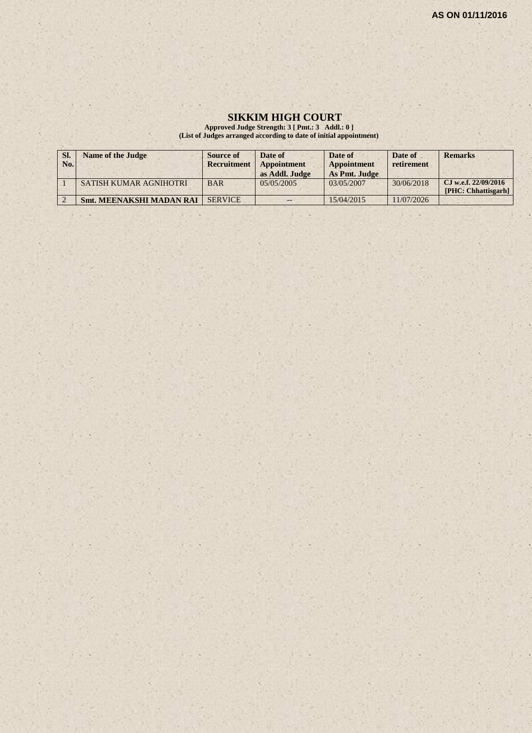#### **SIKKIM HIGH COURT**

**Approved Judge Strength: 3 [ Pmt.: 3 Addl.: 0 ] (List of Judges arranged according to date of initial appointment)**

| SI.<br>No. | Name of the Judge               | Source of<br>Recruitment | Date of<br>Appointment<br>as Addl. Judge | Date of<br><b>Appointment</b><br>As Pmt. Judge | Date of<br>retirement | <b>Remarks</b>                              |
|------------|---------------------------------|--------------------------|------------------------------------------|------------------------------------------------|-----------------------|---------------------------------------------|
|            | <b>SATISH KUMAR AGNIHOTRI</b>   | <b>BAR</b>               | 0.5/0.5/200.5                            | 03/05/2007                                     | 30/06/2018            | CJ w.e.f. 22/09/2016<br>[PHC: Chhattisgarh] |
|            | <b>Smt. MEENAKSHI MADAN RAI</b> | <b>SERVICE</b>           | $- -$                                    | 15/04/2015                                     | 11/07/2026            |                                             |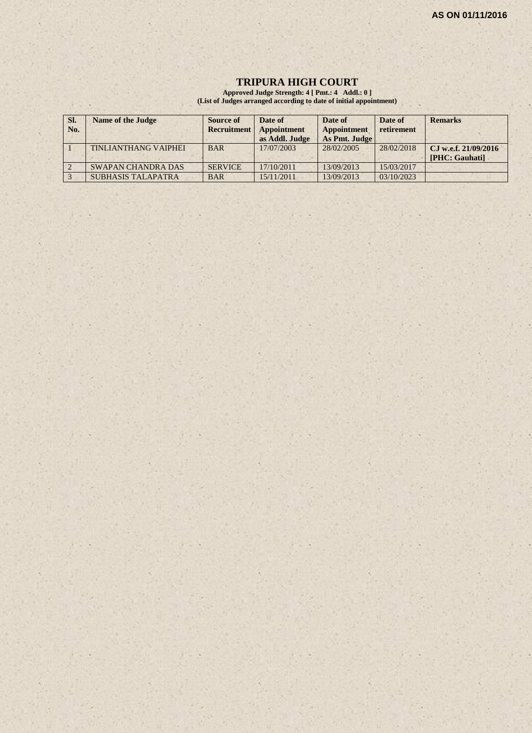#### **TRIPURA HIGH COURT**

**Approved Judge Strength: 4 [ Pmt.: 4 Addl.: 0 ] (List of Judges arranged according to date of initial appointment)**

| SI. | <b>Name of the Judge</b>    | Source of          | Date of        | Date of       | Date of    | <b>Remarks</b>       |
|-----|-----------------------------|--------------------|----------------|---------------|------------|----------------------|
| No. |                             | <b>Recruitment</b> | Appointment    | Appointment   | retirement |                      |
|     |                             |                    | as Addl. Judge | As Pmt. Judge |            |                      |
|     | <b>TINLIANTHANG VAIPHEI</b> | <b>BAR</b>         | 17/07/2003     | 28/02/2005    | 28/02/2018 | CJ w.e.f. 21/09/2016 |
|     |                             |                    |                |               |            | [PHC: Gauhati]       |
|     | <b>SWAPAN CHANDRA DAS</b>   | <b>SERVICE</b>     | 17/10/2011     | 13/09/2013    | 15/03/2017 |                      |
|     | <b>SUBHASIS TALAPATRA</b>   | <b>BAR</b>         | 15/11/2011     | 13/09/2013    | 03/10/2023 |                      |